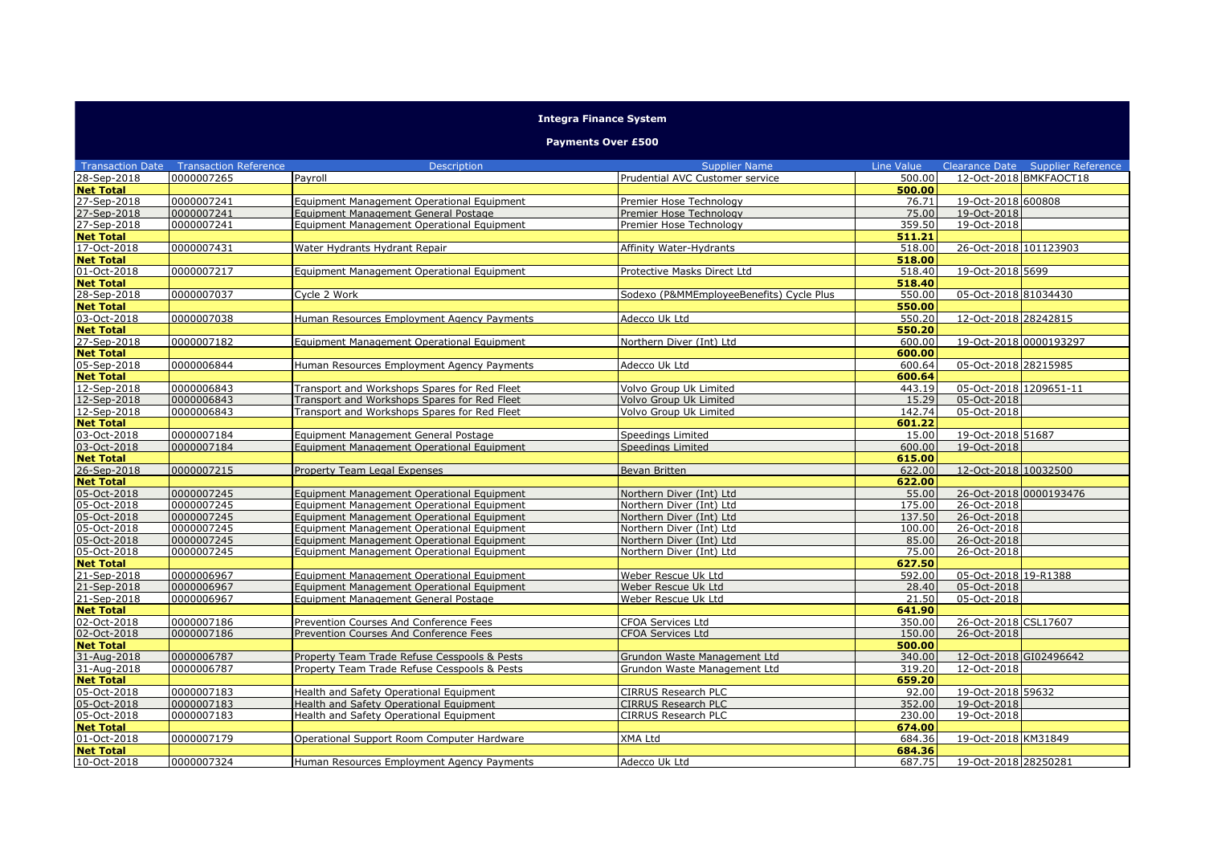## **Integra Finance System**

## **Payments Over £500**

|                                 | <b>Transaction Date Transaction Reference</b> | <b>Description</b>                                                                           | <b>Supplier Name</b>                     | Line Value       | Clearance Date Supplier Reference |
|---------------------------------|-----------------------------------------------|----------------------------------------------------------------------------------------------|------------------------------------------|------------------|-----------------------------------|
| 28-Sep-2018                     | 0000007265                                    | Pavroll                                                                                      | Prudential AVC Customer service          | 500.00           | 12-Oct-2018 BMKFAOCT18            |
| <b>Net Total</b>                |                                               |                                                                                              |                                          | 500.00           |                                   |
| 27-Sep-2018                     | 0000007241                                    | Equipment Management Operational Equipment                                                   | Premier Hose Technology                  | 76.71            | 19-Oct-2018 600808                |
| 27-Sep-2018                     | 0000007241                                    | Equipment Management General Postage                                                         | Premier Hose Technology                  | 75.00            | 19-Oct-2018                       |
| 27-Sep-2018                     | 0000007241                                    | Equipment Management Operational Equipment                                                   | Premier Hose Technology                  | 359.50           | 19-Oct-2018                       |
| <b>Net Total</b>                |                                               |                                                                                              |                                          | 511.21           |                                   |
| 17-Oct-2018                     | 0000007431                                    | Water Hydrants Hydrant Repair                                                                | <b>Affinity Water-Hydrants</b>           | 518.00           | 26-Oct-2018 101123903             |
| <b>Net Total</b>                |                                               |                                                                                              |                                          | 518.00           |                                   |
| 01-Oct-2018                     | 0000007217                                    | Equipment Management Operational Equipment                                                   | Protective Masks Direct Ltd              | 518.40           | 19-Oct-2018 5699                  |
| <b>Net Total</b>                |                                               |                                                                                              |                                          | 518.40           |                                   |
| 28-Sep-2018                     | 0000007037                                    | Cycle 2 Work                                                                                 | Sodexo (P&MMEmployeeBenefits) Cycle Plus | 550.00           | 05-Oct-2018 81034430              |
| <b>Net Total</b>                |                                               |                                                                                              |                                          | 550.00           |                                   |
| 03-Oct-2018                     | 0000007038                                    | Human Resources Employment Agency Payments                                                   | Adecco Uk Ltd                            | 550.20           | 12-Oct-2018 28242815              |
| <b>Net Total</b>                |                                               |                                                                                              |                                          | 550.20           |                                   |
| 27-Sep-2018                     | 0000007182                                    | Equipment Management Operational Equipment                                                   | Northern Diver (Int) Ltd                 | 600.00           | 19-Oct-2018 0000193297            |
| <b>Net Total</b>                |                                               |                                                                                              |                                          | 600.00           |                                   |
| 05-Sep-2018                     | 0000006844                                    | Human Resources Employment Agency Payments                                                   | Adecco Uk Ltd                            | 600.64           | 05-Oct-2018 28215985              |
| <b>Net Total</b>                |                                               |                                                                                              |                                          | 600.64           |                                   |
| 12-Sep-2018                     | 0000006843                                    | Transport and Workshops Spares for Red Fleet                                                 | Volvo Group Uk Limited                   | 443.19           | 05-Oct-2018 1209651-11            |
| 12-Sep-2018                     | 0000006843                                    | Transport and Workshops Spares for Red Fleet                                                 | Volvo Group Uk Limited                   | 15.29            | 05-Oct-2018                       |
| 12-Sep-2018                     | 0000006843                                    | Transport and Workshops Spares for Red Fleet                                                 | Volvo Group Uk Limited                   | 142.74           | 05-Oct-2018                       |
| <b>Net Total</b>                |                                               |                                                                                              |                                          | 601.22           |                                   |
| 03-Oct-2018                     | 0000007184                                    | Equipment Management General Postage                                                         | Speedings Limited                        | 15.00            | 19-Oct-2018 51687                 |
| 03-Oct-2018                     | 0000007184                                    | Equipment Management Operational Equipment                                                   | Speedings Limited                        | 600.00           | 19-Oct-2018                       |
| <b>Net Total</b>                |                                               |                                                                                              |                                          | 615.00           |                                   |
| 26-Sep-2018                     | 0000007215                                    | Property Team Legal Expenses                                                                 | Bevan Britten                            | 622.00           | 12-Oct-2018 10032500              |
| <b>Net Total</b>                |                                               |                                                                                              |                                          | 622.00           |                                   |
| 05-Oct-2018                     | 0000007245                                    | Equipment Management Operational Equipment                                                   | Northern Diver (Int) Ltd                 | 55.00            | 26-Oct-2018 0000193476            |
| 05-Oct-2018                     | 0000007245                                    | Equipment Management Operational Equipment                                                   | Northern Diver (Int) Ltd                 | 175.00           | 26-Oct-2018                       |
| 05-Oct-2018                     | 0000007245                                    | Equipment Management Operational Equipment                                                   | Northern Diver (Int) Ltd                 | 137.50           | 26-Oct-2018                       |
| 05-Oct-2018                     | 0000007245                                    | Equipment Management Operational Equipment                                                   | Northern Diver (Int) Ltd                 | 100.00           | 26-Oct-2018                       |
| 05-Oct-2018                     | 0000007245                                    | Equipment Management Operational Equipment                                                   | Northern Diver (Int) Ltd                 | 85.00            | 26-Oct-2018                       |
| 05-Oct-2018                     | 0000007245                                    | Equipment Management Operational Equipment                                                   | Northern Diver (Int) Ltd                 | 75.00            | 26-Oct-2018                       |
| <b>Net Total</b>                |                                               |                                                                                              |                                          | 627.50           |                                   |
| 21-Sep-2018                     | 0000006967                                    | Equipment Management Operational Equipment                                                   | Weber Rescue Uk Ltd                      | 592.00           | 05-Oct-2018 19-R1388              |
| 21-Sep-2018                     | 0000006967                                    | Equipment Management Operational Equipment                                                   | Weber Rescue Uk Ltd                      | 28.40            | 05-Oct-2018                       |
| 21-Sep-2018                     | 0000006967                                    | Equipment Management General Postage                                                         | Weber Rescue Uk Ltd                      | 21.50            | 05-Oct-2018                       |
| <b>Net Total</b>                |                                               |                                                                                              |                                          | 641.90           |                                   |
| 02-Oct-2018<br>02-Oct-2018      | 0000007186                                    | Prevention Courses And Conference Fees                                                       | <b>CFOA Services Ltd</b>                 | 350.00           | 26-Oct-2018 CSL17607              |
|                                 | 0000007186                                    | Prevention Courses And Conference Fees                                                       | <b>CFOA Services Ltd</b>                 | 150.00           | 26-Oct-2018                       |
| <b>Net Total</b>                |                                               |                                                                                              |                                          | 500.00           |                                   |
| 31-Aug-2018<br>31-Aug-2018      | 0000006787                                    | Property Team Trade Refuse Cesspools & Pests<br>Property Team Trade Refuse Cesspools & Pests | Grundon Waste Management Ltd             | 340.00<br>319.20 | 12-Oct-2018 GI02496642            |
|                                 | 0000006787                                    |                                                                                              | Grundon Waste Management Ltd             | 659.20           | 12-Oct-2018                       |
| <b>Net Total</b><br>05-Oct-2018 | 0000007183                                    | Health and Safety Operational Equipment                                                      | CIRRUS Research PLC                      | 92.00            | 19-Oct-2018 59632                 |
| 05-Oct-2018                     | 0000007183                                    |                                                                                              | CIRRUS Research PLC                      | 352.00           | 19-Oct-2018                       |
| 05-Oct-2018                     | 0000007183                                    | Health and Safety Operational Equipment<br>Health and Safety Operational Equipment           | CIRRUS Research PLC                      | 230.00           | 19-Oct-2018                       |
| <b>Net Total</b>                |                                               |                                                                                              |                                          | 674.00           |                                   |
| 01-Oct-2018                     | 0000007179                                    | Operational Support Room Computer Hardware                                                   | XMA Ltd                                  | 684.36           | 19-Oct-2018 KM31849               |
| <b>Net Total</b>                |                                               |                                                                                              |                                          | 684.36           |                                   |
| 10-Oct-2018                     | 0000007324                                    |                                                                                              | Adecco Uk Ltd                            | 687.75           | 19-Oct-2018 28250281              |
|                                 |                                               | Human Resources Employment Agency Payments                                                   |                                          |                  |                                   |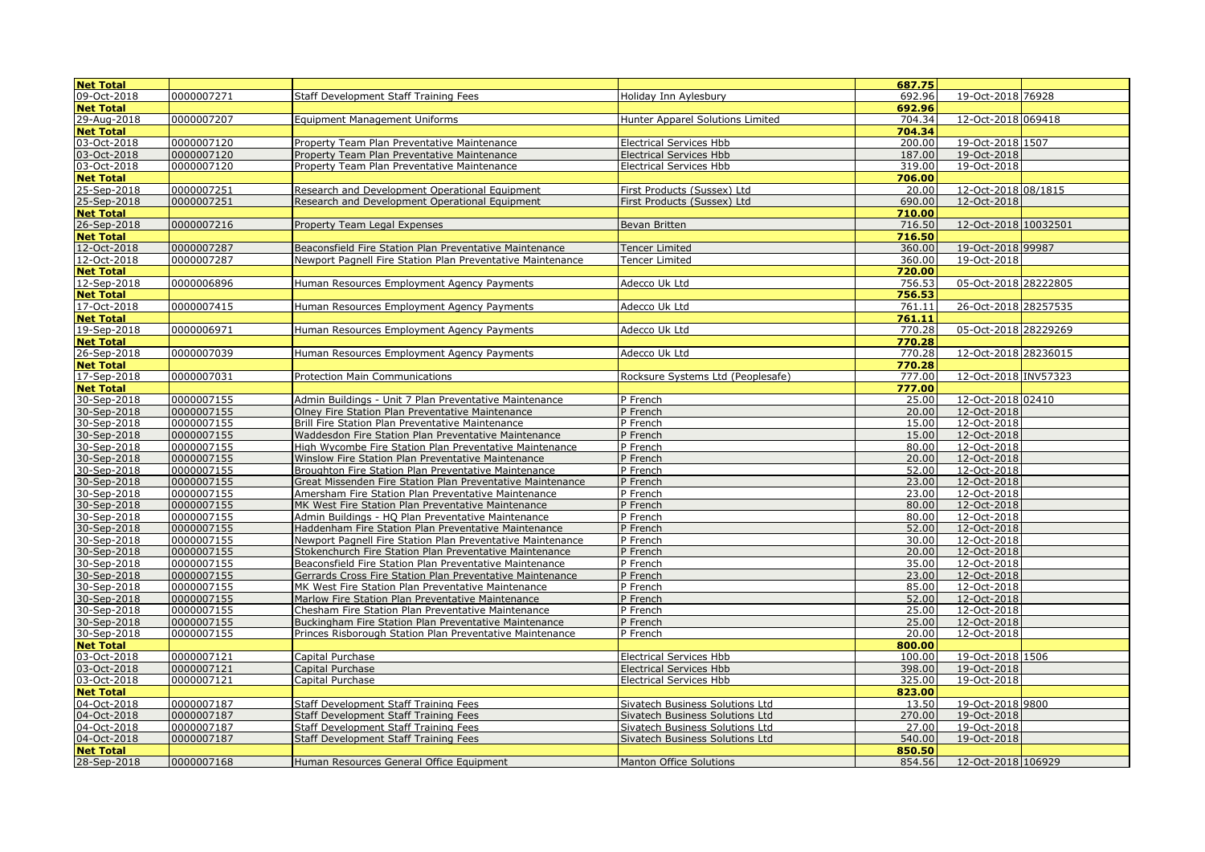| <b>Net Total</b>           |                          |                                                                                                            |                                   | 687.75         |                            |  |
|----------------------------|--------------------------|------------------------------------------------------------------------------------------------------------|-----------------------------------|----------------|----------------------------|--|
| 09-Oct-2018                | 0000007271               | <b>Staff Development Staff Training Fees</b>                                                               | Holiday Inn Aylesbury             | 692.96         | 19-Oct-2018 76928          |  |
| <b>Net Total</b>           |                          |                                                                                                            |                                   | 692.96         |                            |  |
| 29-Aug-2018                | 0000007207               | <b>Equipment Management Uniforms</b>                                                                       | Hunter Apparel Solutions Limited  | 704.34         | 12-Oct-2018 069418         |  |
| <b>Net Total</b>           |                          |                                                                                                            |                                   | 704.34         |                            |  |
| 03-Oct-2018                | 0000007120               | Property Team Plan Preventative Maintenance                                                                | <b>Electrical Services Hbb</b>    | 200.00         | 19-Oct-2018 1507           |  |
|                            | 0000007120               | Property Team Plan Preventative Maintenance                                                                | <b>Electrical Services Hbb</b>    | 187.00         | 19-Oct-2018                |  |
| 03-0ct-2018                | 0000007120               | Property Team Plan Preventative Maintenance                                                                | <b>Electrical Services Hbb</b>    | 319.00         | 19-Oct-2018                |  |
| <b>Net Total</b>           |                          |                                                                                                            |                                   | 706.00         |                            |  |
| 25-Sep-2018                | 0000007251               | Research and Development Operational Equipment                                                             | First Products (Sussex) Ltd       | 20.00          | 12-Oct-2018 08/1815        |  |
| 25-Sep-2018                | 0000007251               | Research and Development Operational Equipment                                                             | First Products (Sussex) Ltd       | 690.00         | 12-Oct-2018                |  |
| <b>Net Total</b>           |                          |                                                                                                            |                                   | 710.00         |                            |  |
| 26-Sep-2018                | 0000007216               | Property Team Legal Expenses                                                                               | Bevan Britten                     | 716.50         | 12-Oct-2018 10032501       |  |
| <b>Net Total</b>           |                          |                                                                                                            |                                   | 716.50         |                            |  |
| 12-Oct-2018                | 0000007287               | Beaconsfield Fire Station Plan Preventative Maintenance                                                    | <b>Tencer Limited</b>             | 360.00         | 19-Oct-2018 99987          |  |
| 12-Oct-2018                | 0000007287               | Newport Pagnell Fire Station Plan Preventative Maintenance                                                 | <b>Tencer Limited</b>             | 360.00         | 19-Oct-2018                |  |
| <b>Net Total</b>           |                          |                                                                                                            |                                   | 720.00         |                            |  |
| 12-Sep-2018                | 0000006896               | Human Resources Employment Agency Payments                                                                 | Adecco Uk Ltd                     | 756.53         | 05-Oct-2018 28222805       |  |
| <b>Net Total</b>           |                          |                                                                                                            |                                   | 756.53         |                            |  |
| 17-Oct-2018                | 0000007415               | Human Resources Employment Agency Payments                                                                 | Adecco Uk Ltd                     | 761.11         | 26-Oct-2018 28257535       |  |
| <b>Net Total</b>           |                          |                                                                                                            |                                   | 761.11         |                            |  |
| 19-Sep-2018                | 0000006971               | Human Resources Employment Agency Payments                                                                 | Adecco Uk Ltd                     | 770.28         | 05-Oct-2018 28229269       |  |
| <b>Net Total</b>           |                          |                                                                                                            |                                   | 770.28         |                            |  |
| 26-Sep-2018                | 0000007039               | Human Resources Employment Agency Payments                                                                 | Adecco Uk Ltd                     | 770.28         | 12-Oct-2018 28236015       |  |
| <b>Net Total</b>           |                          |                                                                                                            |                                   | 770.28         |                            |  |
| 17-Sep-2018                | 0000007031               | <b>Protection Main Communications</b>                                                                      | Rocksure Systems Ltd (Peoplesafe) | 777.00         | 12-Oct-2018 INV57323       |  |
| <b>Net Total</b>           |                          |                                                                                                            |                                   | 777.00         |                            |  |
| 30-Sep-2018                | 0000007155               | Admin Buildings - Unit 7 Plan Preventative Maintenance                                                     | P French                          | 25.00          | 12-Oct-2018 02410          |  |
| 30-Sep-2018                | 0000007155               | Olney Fire Station Plan Preventative Maintenance                                                           | P French                          | 20.00          | 12-Oct-2018                |  |
| 30-Sep-2018                | 0000007155               | Brill Fire Station Plan Preventative Maintenance                                                           | P French                          | 15.00<br>15.00 | 12-Oct-2018                |  |
| 30-Sep-2018                | 0000007155               | Waddesdon Fire Station Plan Preventative Maintenance                                                       | P French                          |                | 12-Oct-2018<br>12-Oct-2018 |  |
| 30-Sep-2018                | 0000007155               | High Wycombe Fire Station Plan Preventative Maintenance                                                    | P French<br>P French              | 80.00<br>20.00 | 12-Oct-2018                |  |
| 30-Sep-2018<br>30-Sep-2018 | 0000007155<br>0000007155 | Winslow Fire Station Plan Preventative Maintenance<br>Broughton Fire Station Plan Preventative Maintenance | P French                          | 52.00          | 12-Oct-2018                |  |
| 30-Sep-2018                | 0000007155               | Great Missenden Fire Station Plan Preventative Maintenance                                                 | P French                          | 23.00          | 12-Oct-2018                |  |
| 30-Sep-2018                | 0000007155               | Amersham Fire Station Plan Preventative Maintenance                                                        | P French                          | 23.00          | 12-Oct-2018                |  |
| 30-Sep-2018                | 0000007155               | MK West Fire Station Plan Preventative Maintenance                                                         | P French                          | 80.00          | 12-Oct-2018                |  |
| 30-Sep-2018                | 0000007155               | Admin Buildings - HQ Plan Preventative Maintenance                                                         | P French                          | 80.00          | 12-Oct-2018                |  |
| 30-Sep-2018                | 0000007155               | Haddenham Fire Station Plan Preventative Maintenance                                                       | P French                          | 52.00          | 12-Oct-2018                |  |
| 30-Sep-2018                | 0000007155               | Newport Pagnell Fire Station Plan Preventative Maintenance                                                 | P French                          | 30.00          | 12-Oct-2018                |  |
| 30-Sep-2018                | 0000007155               | Stokenchurch Fire Station Plan Preventative Maintenance                                                    | P French                          | 20.00          | 12-Oct-2018                |  |
| 30-Sep-2018                | 0000007155               | Beaconsfield Fire Station Plan Preventative Maintenance                                                    | P French                          | 35.00          | 12-Oct-2018                |  |
| 30-Sep-2018                | 0000007155               | Gerrards Cross Fire Station Plan Preventative Maintenance                                                  | P French                          | 23.00          | 12-Oct-2018                |  |
| 30-Sep-2018                | 0000007155               | MK West Fire Station Plan Preventative Maintenance                                                         | P French                          | 85.00          | 12-Oct-2018                |  |
| 30-Sep-2018                | 0000007155               | Marlow Fire Station Plan Preventative Maintenance                                                          | P French                          | 52.00          | 12-Oct-2018                |  |
| 30-Sep-2018                | 0000007155               | Chesham Fire Station Plan Preventative Maintenance                                                         | P French                          | 25.00          | 12-Oct-2018                |  |
| 30-Sep-2018                | 0000007155               | Buckingham Fire Station Plan Preventative Maintenance                                                      | P French                          | 25.00          | 12-Oct-2018                |  |
| 30-Sep-2018                | 0000007155               | Princes Risborough Station Plan Preventative Maintenance                                                   | P French                          | 20.00          | 12-Oct-2018                |  |
| <b>Net Total</b>           |                          |                                                                                                            |                                   | 800.00         |                            |  |
| 03-Oct-2018                | 0000007121               | Capital Purchase                                                                                           | <b>Electrical Services Hbb</b>    | 100.00         | 19-Oct-2018 1506           |  |
| 03-Oct-2018                | 0000007121               | Capital Purchase                                                                                           | <b>Electrical Services Hbb</b>    | 398.00         | 19-Oct-2018                |  |
| 03-Oct-2018                | 0000007121               | Capital Purchase                                                                                           | <b>Electrical Services Hbb</b>    | 325.00         | 19-Oct-2018                |  |
| <b>Net Total</b>           |                          |                                                                                                            |                                   | 823.00         |                            |  |
| 04-Oct-2018                | 0000007187               | Staff Development Staff Training Fees                                                                      | Sivatech Business Solutions Ltd   | 13.50          | 19-Oct-2018 9800           |  |
| 04-Oct-2018                | 0000007187               | <b>Staff Development Staff Training Fees</b>                                                               | Sivatech Business Solutions Ltd   | 270.00         | 19-Oct-2018                |  |
| 04-Oct-2018                | 0000007187               | <b>Staff Development Staff Training Fees</b>                                                               | Sivatech Business Solutions Ltd   | 27.00          | 19-Oct-2018                |  |
| 04-Oct-2018                | 0000007187               | Staff Development Staff Training Fees                                                                      | Sivatech Business Solutions Ltd   | 540.00         | 19-Oct-2018                |  |
| <b>Net Total</b>           |                          |                                                                                                            |                                   | 850.50         |                            |  |
| 28-Sep-2018                | 0000007168               | Human Resources General Office Equipment                                                                   | <b>Manton Office Solutions</b>    | 854.56         | 12-Oct-2018 106929         |  |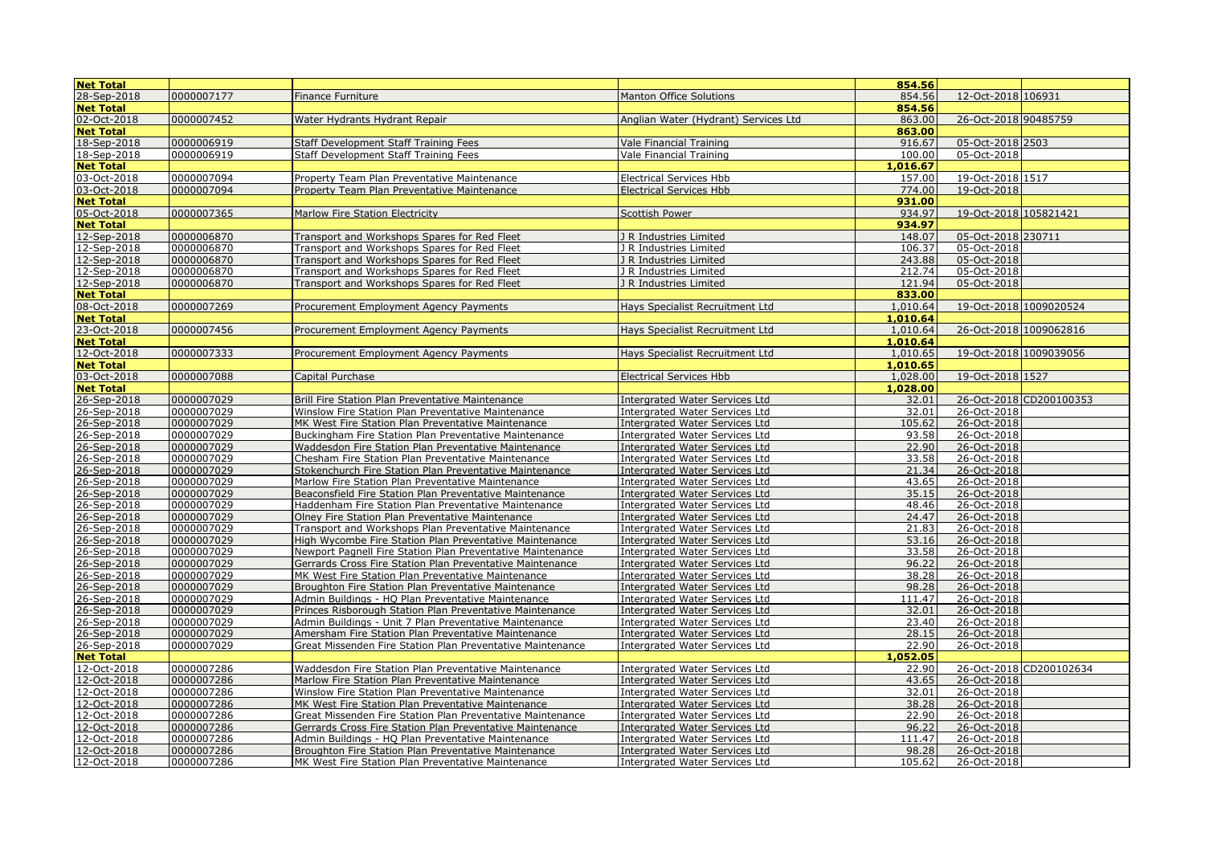| <b>Net Total</b>           |                          |                                                                                                              |                                                                  | 854.56         |                            |                         |
|----------------------------|--------------------------|--------------------------------------------------------------------------------------------------------------|------------------------------------------------------------------|----------------|----------------------------|-------------------------|
| 28-Sep-2018                | 0000007177               | Finance Furniture                                                                                            | <b>Manton Office Solutions</b>                                   | 854.56         | 12-Oct-2018 106931         |                         |
| <b>Net Total</b>           |                          |                                                                                                              |                                                                  | 854.56         |                            |                         |
| 02-Oct-2018                | 0000007452               | Water Hydrants Hydrant Repair                                                                                | Anglian Water (Hydrant) Services Ltd                             | 863.00         | 26-Oct-2018 90485759       |                         |
| <b>Net Total</b>           |                          |                                                                                                              |                                                                  | 863.00         |                            |                         |
| 18-Sep-2018                | 0000006919               | Staff Development Staff Training Fees                                                                        | Vale Financial Training                                          | 916.67         | 05-Oct-2018 2503           |                         |
| 18-Sep-2018                | 0000006919               | <b>Staff Development Staff Training Fees</b>                                                                 | <b>Vale Financial Training</b>                                   | 100.00         | 05-Oct-2018                |                         |
| <b>Net Total</b>           |                          |                                                                                                              |                                                                  | 1,016.67       |                            |                         |
| 03-Oct-2018                | 0000007094               | Property Team Plan Preventative Maintenance                                                                  | <b>Electrical Services Hbb</b>                                   | 157.00         | 19-Oct-2018 1517           |                         |
| 03-Oct-2018                | 0000007094               | Property Team Plan Preventative Maintenance                                                                  | <b>Electrical Services Hbb</b>                                   | 774.00         | 19-Oct-2018                |                         |
| <b>Net Total</b>           |                          |                                                                                                              |                                                                  | 931.00         |                            |                         |
| 05-Oct-2018                | 0000007365               | Marlow Fire Station Electricity                                                                              | <b>Scottish Power</b>                                            | 934.97         | 19-Oct-2018 105821421      |                         |
| <b>Net Total</b>           |                          |                                                                                                              |                                                                  | 934.97         |                            |                         |
| 12-Sep-2018                | 0000006870               | Transport and Workshops Spares for Red Fleet                                                                 | J R Industries Limited                                           | 148.07         | 05-Oct-2018 230711         |                         |
| 12-Sep-2018                | 0000006870               | Transport and Workshops Spares for Red Fleet                                                                 | J R Industries Limited                                           | 106.37         | 05-Oct-2018                |                         |
| 12-Sep-2018                | 0000006870               | Transport and Workshops Spares for Red Fleet                                                                 | J R Industries Limited                                           | 243.88         | 05-Oct-2018                |                         |
| 12-Sep-2018                | 0000006870               | Transport and Workshops Spares for Red Fleet                                                                 | J R Industries Limited                                           | 212.74         | 05-Oct-2018                |                         |
| 12-Sep-2018                | 0000006870               | Transport and Workshops Spares for Red Fleet                                                                 | J R Industries Limited                                           | 121.94         | 05-Oct-2018                |                         |
| <b>Net Total</b>           |                          |                                                                                                              |                                                                  | 833.00         |                            |                         |
| 08-Oct-2018                | 0000007269               | Procurement Employment Agency Payments                                                                       | Hays Specialist Recruitment Ltd                                  | 1,010.64       |                            | 19-Oct-2018 1009020524  |
| <b>Net Total</b>           |                          |                                                                                                              |                                                                  | 1,010.64       |                            |                         |
| 23-Oct-2018                | 0000007456               | Procurement Employment Agency Payments                                                                       | Hays Specialist Recruitment Ltd                                  | 1,010.64       |                            | 26-Oct-2018 1009062816  |
| <b>Net Total</b>           |                          |                                                                                                              |                                                                  | 1,010.64       |                            |                         |
| 12-Oct-2018                | 0000007333               | Procurement Employment Agency Payments                                                                       | Hays Specialist Recruitment Ltd                                  | 1,010.65       |                            | 19-Oct-2018 1009039056  |
| <b>Net Total</b>           |                          |                                                                                                              |                                                                  | 1,010.65       |                            |                         |
| 03-Oct-2018                | 0000007088               | Capital Purchase                                                                                             | <b>Electrical Services Hbb</b>                                   | 1,028.00       | 19-Oct-2018 1527           |                         |
| <b>Net Total</b>           |                          |                                                                                                              |                                                                  | 1,028.00       |                            |                         |
| 26-Sep-2018                | 0000007029               | Brill Fire Station Plan Preventative Maintenance                                                             | Intergrated Water Services Ltd                                   | 32.01          |                            | 26-Oct-2018 CD200100353 |
| 26-Sep-2018                | 0000007029               | Winslow Fire Station Plan Preventative Maintenance                                                           | Intergrated Water Services Ltd                                   | 32.01          | 26-Oct-2018                |                         |
| 26-Sep-2018                | 0000007029               | MK West Fire Station Plan Preventative Maintenance                                                           | Intergrated Water Services Ltd                                   | 105.62         | 26-Oct-2018                |                         |
| 26-Sep-2018                | 0000007029               | Buckingham Fire Station Plan Preventative Maintenance                                                        | Intergrated Water Services Ltd                                   | 93.58          | 26-Oct-2018                |                         |
| 26-Sep-2018                | 0000007029               | Waddesdon Fire Station Plan Preventative Maintenance                                                         | Intergrated Water Services Ltd                                   | 22.90          | 26-Oct-2018                |                         |
| 26-Sep-2018                | 0000007029               | Chesham Fire Station Plan Preventative Maintenance                                                           | Intergrated Water Services Ltd                                   | 33.58          | 26-Oct-2018                |                         |
| 26-Sep-2018<br>26-Sep-2018 | 0000007029<br>0000007029 | Stokenchurch Fire Station Plan Preventative Maintenance                                                      | <b>Intergrated Water Services Ltd</b>                            | 21.34<br>43.65 | 26-Oct-2018<br>26-Oct-2018 |                         |
| 26-Sep-2018                | 0000007029               | Marlow Fire Station Plan Preventative Maintenance<br>Beaconsfield Fire Station Plan Preventative Maintenance | Intergrated Water Services Ltd<br>Intergrated Water Services Ltd | 35.15          | 26-Oct-2018                |                         |
| 26-Sep-2018                | 0000007029               | Haddenham Fire Station Plan Preventative Maintenance                                                         | Intergrated Water Services Ltd                                   | 48.46          | 26-Oct-2018                |                         |
| 26-Sep-2018                | 0000007029               | Olney Fire Station Plan Preventative Maintenance                                                             | Intergrated Water Services Ltd                                   | 24.47          | 26-Oct-2018                |                         |
| 26-Sep-2018                | 0000007029               | Transport and Workshops Plan Preventative Maintenance                                                        | Intergrated Water Services Ltd                                   | 21.83          | 26-Oct-2018                |                         |
| 26-Sep-2018                | 0000007029               | High Wycombe Fire Station Plan Preventative Maintenance                                                      | Intergrated Water Services Ltd                                   | 53.16          | 26-Oct-2018                |                         |
| 26-Sep-2018                | 0000007029               | Newport Pagnell Fire Station Plan Preventative Maintenance                                                   | Intergrated Water Services Ltd                                   | 33.58          | 26-Oct-2018                |                         |
| 26-Sep-2018                | 0000007029               | Gerrards Cross Fire Station Plan Preventative Maintenance                                                    | Intergrated Water Services Ltd                                   | 96.22          | 26-Oct-2018                |                         |
| 26-Sep-2018                | 0000007029               | MK West Fire Station Plan Preventative Maintenance                                                           | <b>Intergrated Water Services Ltd</b>                            | 38.28          | 26-Oct-2018                |                         |
| 26-Sep-2018                | 0000007029               | Broughton Fire Station Plan Preventative Maintenance                                                         | Intergrated Water Services Ltd                                   | 98.28          | 26-Oct-2018                |                         |
| 26-Sep-2018                | 0000007029               | Admin Buildings - HQ Plan Preventative Maintenance                                                           | Intergrated Water Services Ltd                                   | 111.47         | 26-Oct-2018                |                         |
| 26-Sep-2018                | 0000007029               | Princes Risborough Station Plan Preventative Maintenance                                                     | Intergrated Water Services Ltd                                   | 32.01          | 26-Oct-2018                |                         |
| 26-Sep-2018                | 0000007029               | Admin Buildings - Unit 7 Plan Preventative Maintenance                                                       | <b>Intergrated Water Services Ltd</b>                            | 23.40          | 26-Oct-2018                |                         |
| 26-Sep-2018                | 0000007029               | Amersham Fire Station Plan Preventative Maintenance                                                          | Intergrated Water Services Ltd                                   | 28.15          | 26-Oct-2018                |                         |
| 26-Sep-2018                | 0000007029               | Great Missenden Fire Station Plan Preventative Maintenance                                                   | Intergrated Water Services Ltd                                   | 22.90          | 26-Oct-2018                |                         |
| <b>Net Total</b>           |                          |                                                                                                              |                                                                  | 1,052.05       |                            |                         |
| 12-Oct-2018                | 0000007286               | Waddesdon Fire Station Plan Preventative Maintenance                                                         | Intergrated Water Services Ltd                                   | 22.90          |                            | 26-Oct-2018 CD200102634 |
| 12-Oct-2018                | 0000007286               | Marlow Fire Station Plan Preventative Maintenance                                                            | Intergrated Water Services Ltd                                   | 43.65          | 26-Oct-2018                |                         |
| 12-Oct-2018                | 0000007286               | Winslow Fire Station Plan Preventative Maintenance                                                           | Intergrated Water Services Ltd                                   | 32.01          | 26-Oct-2018                |                         |
| 12-Oct-2018                | 0000007286               | MK West Fire Station Plan Preventative Maintenance                                                           | <b>Intergrated Water Services Ltd</b>                            | 38.28          | 26-Oct-2018                |                         |
| 12-Oct-2018                | 0000007286               | Great Missenden Fire Station Plan Preventative Maintenance                                                   | Intergrated Water Services Ltd                                   | 22.90          | 26-Oct-2018                |                         |
| 12-Oct-2018                | 0000007286               | Gerrards Cross Fire Station Plan Preventative Maintenance                                                    | <b>Intergrated Water Services Ltd</b>                            | 96.22          | 26-Oct-2018                |                         |
| 12-Oct-2018                | 0000007286               | Admin Buildings - HQ Plan Preventative Maintenance                                                           | Intergrated Water Services Ltd                                   | 111.47         | 26-Oct-2018                |                         |
| 12-Oct-2018                | 0000007286               | Broughton Fire Station Plan Preventative Maintenance                                                         | Intergrated Water Services Ltd                                   | 98.28          | 26-Oct-2018                |                         |
| 12-Oct-2018                | 0000007286               | MK West Fire Station Plan Preventative Maintenance                                                           | Intergrated Water Services Ltd                                   | 105.62         | 26-Oct-2018                |                         |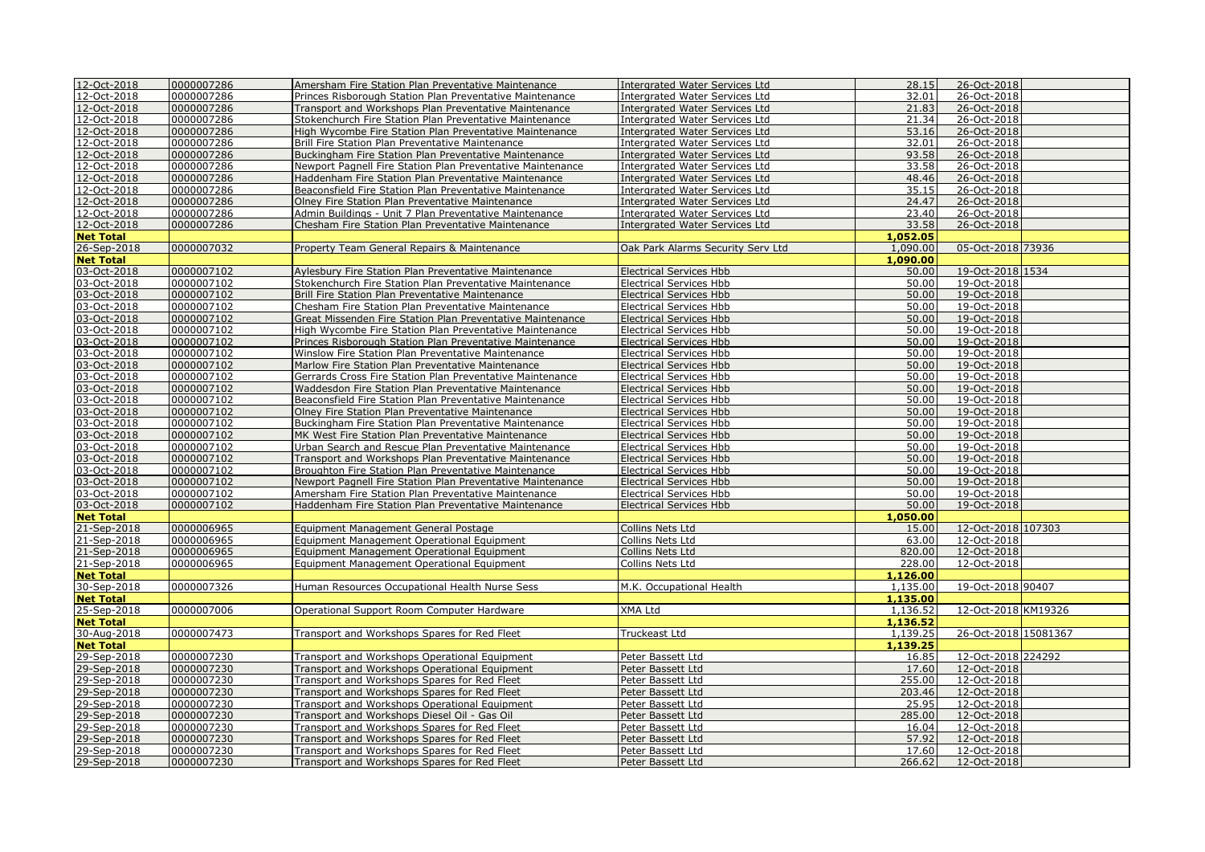| 12-Oct-2018      | 0000007286 | Amersham Fire Station Plan Preventative Maintenance        | <b>Intergrated Water Services Ltd</b> | 28.15    | 26-Oct-2018          |  |
|------------------|------------|------------------------------------------------------------|---------------------------------------|----------|----------------------|--|
| 12-Oct-2018      | 0000007286 | Princes Risborough Station Plan Preventative Maintenance   | Interarated Water Services Ltd        | 32.01    | 26-Oct-2018          |  |
| 12-Oct-2018      | 0000007286 | Transport and Workshops Plan Preventative Maintenance      | Intergrated Water Services Ltd        | 21.83    | 26-Oct-2018          |  |
| 12-Oct-2018      | 0000007286 | Stokenchurch Fire Station Plan Preventative Maintenance    | Intergrated Water Services Ltd        | 21.34    | 26-Oct-2018          |  |
| 12-Oct-2018      | 0000007286 | High Wycombe Fire Station Plan Preventative Maintenance    | <b>Intergrated Water Services Ltd</b> | 53.16    | 26-Oct-2018          |  |
| 12-Oct-2018      | 0000007286 | Brill Fire Station Plan Preventative Maintenance           | Intergrated Water Services Ltd        | 32.01    | 26-Oct-2018          |  |
| 12-Oct-2018      | 0000007286 | Buckingham Fire Station Plan Preventative Maintenance      | <b>Intergrated Water Services Ltd</b> | 93.58    | 26-Oct-2018          |  |
| 12-Oct-2018      | 0000007286 | Newport Pagnell Fire Station Plan Preventative Maintenance | Intergrated Water Services Ltd        | 33.58    | 26-Oct-2018          |  |
| 12-Oct-2018      | 0000007286 | Haddenham Fire Station Plan Preventative Maintenance       | Intergrated Water Services Ltd        | 48.46    | 26-Oct-2018          |  |
| 12-Oct-2018      | 0000007286 | Beaconsfield Fire Station Plan Preventative Maintenance    | <b>Intergrated Water Services Ltd</b> | 35.15    | 26-Oct-2018          |  |
| 12-Oct-2018      | 0000007286 | Olney Fire Station Plan Preventative Maintenance           | Intergrated Water Services Ltd        | 24.47    | 26-Oct-2018          |  |
| 12-Oct-2018      | 0000007286 | Admin Buildings - Unit 7 Plan Preventative Maintenance     | Intergrated Water Services Ltd        | 23.40    | 26-Oct-2018          |  |
| 12-Oct-2018      | 0000007286 | Chesham Fire Station Plan Preventative Maintenance         | Intergrated Water Services Ltd        | 33.58    | 26-Oct-2018          |  |
| <b>Net Total</b> |            |                                                            |                                       | 1,052.05 |                      |  |
| 26-Sep-2018      | 0000007032 | Property Team General Repairs & Maintenance                | Oak Park Alarms Security Serv Ltd     | 1,090.00 | 05-Oct-2018 73936    |  |
|                  |            |                                                            |                                       |          |                      |  |
| <b>Net Total</b> |            |                                                            |                                       | 1,090.00 |                      |  |
| 03-Oct-2018      | 0000007102 | Aylesbury Fire Station Plan Preventative Maintenance       | <b>Electrical Services Hbb</b>        | 50.00    | 19-Oct-2018 1534     |  |
| 03-Oct-2018      | 0000007102 | Stokenchurch Fire Station Plan Preventative Maintenance    | <b>Electrical Services Hbb</b>        | 50.00    | 19-Oct-2018          |  |
| 03-Oct-2018      | 0000007102 | Brill Fire Station Plan Preventative Maintenance           | <b>Electrical Services Hbb</b>        | 50.00    | 19-Oct-2018          |  |
| 03-Oct-2018      | 0000007102 | Chesham Fire Station Plan Preventative Maintenance         | <b>Electrical Services Hbb</b>        | 50.00    | 19-Oct-2018          |  |
| 03-Oct-2018      | 0000007102 | Great Missenden Fire Station Plan Preventative Maintenance | <b>Electrical Services Hbb</b>        | 50.00    | 19-Oct-2018          |  |
| 03-Oct-2018      | 0000007102 | High Wycombe Fire Station Plan Preventative Maintenance    | <b>Electrical Services Hbb</b>        | 50.00    | 19-Oct-2018          |  |
| 03-Oct-2018      | 0000007102 | Princes Risborough Station Plan Preventative Maintenance   | <b>Electrical Services Hbb</b>        | 50.00    | 19-Oct-2018          |  |
| 03-Oct-2018      | 0000007102 | Winslow Fire Station Plan Preventative Maintenance         | <b>Electrical Services Hbb</b>        | 50.00    | 19-Oct-2018          |  |
| 03-Oct-2018      | 0000007102 | Marlow Fire Station Plan Preventative Maintenance          | <b>Electrical Services Hbb</b>        | 50.00    | 19-Oct-2018          |  |
| 03-Oct-2018      | 0000007102 | Gerrards Cross Fire Station Plan Preventative Maintenance  | <b>Electrical Services Hbb</b>        | 50.00    | 19-Oct-2018          |  |
| 03-Oct-2018      | 0000007102 | Waddesdon Fire Station Plan Preventative Maintenance       | <b>Electrical Services Hbb</b>        | 50.00    | 19-Oct-2018          |  |
| 03-Oct-2018      | 0000007102 | Beaconsfield Fire Station Plan Preventative Maintenance    | <b>Electrical Services Hbb</b>        | 50.00    | 19-Oct-2018          |  |
| 03-Oct-2018      | 0000007102 | Olney Fire Station Plan Preventative Maintenance           | <b>Electrical Services Hbb</b>        | 50.00    | 19-Oct-2018          |  |
| 03-Oct-2018      | 0000007102 | Buckingham Fire Station Plan Preventative Maintenance      | <b>Electrical Services Hbb</b>        | 50.00    | 19-Oct-2018          |  |
| 03-Oct-2018      | 0000007102 | MK West Fire Station Plan Preventative Maintenance         | <b>Electrical Services Hbb</b>        | 50.00    | 19-Oct-2018          |  |
| 03-Oct-2018      | 0000007102 | Urban Search and Rescue Plan Preventative Maintenance      | <b>Electrical Services Hbb</b>        | 50.00    | 19-Oct-2018          |  |
| 03-Oct-2018      | 0000007102 |                                                            | <b>Electrical Services Hbb</b>        | 50.00    | 19-Oct-2018          |  |
|                  | 0000007102 | Transport and Workshops Plan Preventative Maintenance      |                                       | 50.00    | 19-Oct-2018          |  |
| 03-Oct-2018      |            | Broughton Fire Station Plan Preventative Maintenance       | <b>Electrical Services Hbb</b>        | 50.00    |                      |  |
| 03-Oct-2018      | 0000007102 | Newport Pagnell Fire Station Plan Preventative Maintenance | <b>Electrical Services Hbb</b>        |          | 19-Oct-2018          |  |
| 03-Oct-2018      | 0000007102 | Amersham Fire Station Plan Preventative Maintenance        | <b>Electrical Services Hbb</b>        | 50.00    | 19-Oct-2018          |  |
| 03-Oct-2018      | 0000007102 | Haddenham Fire Station Plan Preventative Maintenance       | <b>Electrical Services Hbb</b>        | 50.00    | 19-Oct-2018          |  |
| <b>Net Total</b> |            |                                                            |                                       | 1.050.00 |                      |  |
| 21-Sep-2018      | 0000006965 | Equipment Management General Postage                       | Collins Nets Ltd                      | 15.00    | 12-Oct-2018 107303   |  |
| 21-Sep-2018      | 0000006965 | Equipment Management Operational Equipment                 | Collins Nets Ltd                      | 63.00    | 12-Oct-2018          |  |
| 21-Sep-2018      | 0000006965 | Equipment Management Operational Equipment                 | Collins Nets Ltd                      | 820.00   | 12-Oct-2018          |  |
| 21-Sep-2018      | 0000006965 | Equipment Management Operational Equipment                 | Collins Nets Ltd                      | 228.00   | 12-Oct-2018          |  |
| <b>Net Total</b> |            |                                                            |                                       | 1,126.00 |                      |  |
| 30-Sep-2018      | 0000007326 | Human Resources Occupational Health Nurse Sess             | M.K. Occupational Health              | 1,135.00 | 19-Oct-2018 90407    |  |
| <b>Net Total</b> |            |                                                            |                                       | 1,135.00 |                      |  |
| 25-Sep-2018      | 0000007006 | Operational Support Room Computer Hardware                 | XMA Ltd                               | 1,136.52 | 12-Oct-2018 KM19326  |  |
| <b>Net Total</b> |            |                                                            |                                       | 1,136.52 |                      |  |
| 30-Aug-2018      | 0000007473 | Transport and Workshops Spares for Red Fleet               | Truckeast Ltd                         | 1,139.25 | 26-Oct-2018 15081367 |  |
| <b>Net Total</b> |            |                                                            |                                       | 1,139.25 |                      |  |
| 29-Sep-2018      | 0000007230 | Transport and Workshops Operational Equipment              | Peter Bassett Ltd                     | 16.85    | 12-Oct-2018 224292   |  |
| 29-Sep-2018      | 0000007230 | Transport and Workshops Operational Equipment              | Peter Bassett Ltd                     | 17.60    | 12-Oct-2018          |  |
| 29-Sep-2018      | 0000007230 | Transport and Workshops Spares for Red Fleet               | Peter Bassett Ltd                     | 255.00   | 12-Oct-2018          |  |
| 29-Sep-2018      | 0000007230 | Transport and Workshops Spares for Red Fleet               | Peter Bassett Ltd                     | 203.46   | 12-Oct-2018          |  |
| 29-Sep-2018      | 0000007230 | Transport and Workshops Operational Equipment              | Peter Bassett Ltd                     | 25.95    | 12-Oct-2018          |  |
| 29-Sep-2018      | 0000007230 | Transport and Workshops Diesel Oil - Gas Oil               | Peter Bassett Ltd                     | 285.00   | 12-Oct-2018          |  |
| 29-Sep-2018      | 0000007230 | Transport and Workshops Spares for Red Fleet               | Peter Bassett Ltd                     | 16.04    | 12-Oct-2018          |  |
| 29-Sep-2018      | 0000007230 | Transport and Workshops Spares for Red Fleet               | Peter Bassett Ltd                     | 57.92    | 12-Oct-2018          |  |
|                  | 0000007230 |                                                            |                                       | 17.60    | 12-Oct-2018          |  |
| 29-Sep-2018      |            | Transport and Workshops Spares for Red Fleet               | Peter Bassett Ltd                     |          |                      |  |
| 29-Sep-2018      | 0000007230 | Transport and Workshops Spares for Red Fleet               | Peter Bassett Ltd                     | 266.62   | 12-Oct-2018          |  |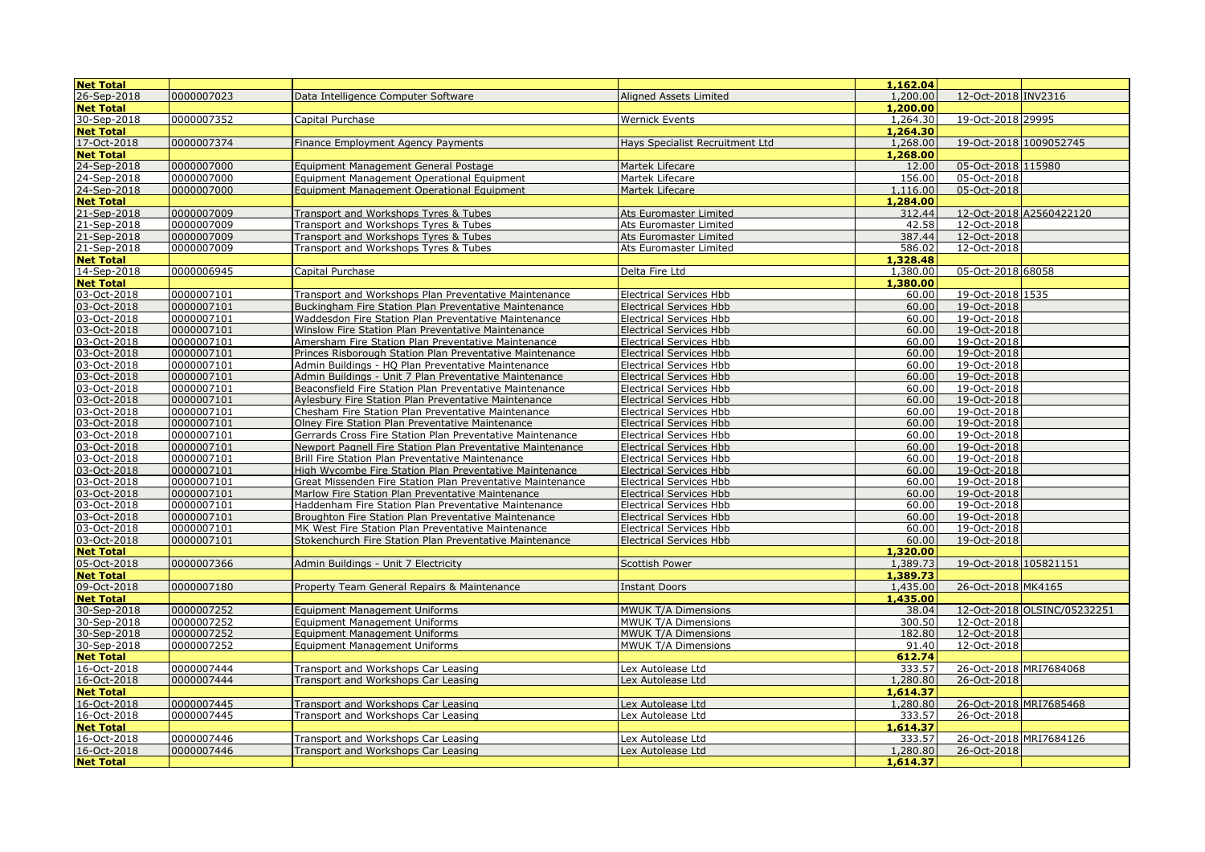| <b>Net Total</b>           |                          |                                                                                                                 |                                                                  | 1,162.04       |                            |                             |
|----------------------------|--------------------------|-----------------------------------------------------------------------------------------------------------------|------------------------------------------------------------------|----------------|----------------------------|-----------------------------|
| 26-Sep-2018                | 0000007023               | Data Intelligence Computer Software                                                                             | Aligned Assets Limited                                           | 1,200.00       | 12-Oct-2018 INV2316        |                             |
| <b>Net Total</b>           |                          |                                                                                                                 |                                                                  | 1,200.00       |                            |                             |
| 30-Sep-2018                | 0000007352               | Capital Purchase                                                                                                | <b>Wernick Events</b>                                            | 1,264.30       | 19-Oct-2018 29995          |                             |
| <b>Net Total</b>           |                          |                                                                                                                 |                                                                  | 1,264.30       |                            |                             |
| 17-Oct-2018                | 0000007374               | Finance Employment Agency Payments                                                                              | Hays Specialist Recruitment Ltd                                  | 1,268.00       | 19-Oct-2018 1009052745     |                             |
| <b>Net Total</b>           |                          |                                                                                                                 |                                                                  | 1,268.00       |                            |                             |
| 24-Sep-2018                | 0000007000               | Equipment Management General Postage                                                                            | Martek Lifecare                                                  | 12.00          | 05-Oct-2018 115980         |                             |
| 24-Sep-2018                | 0000007000               | Equipment Management Operational Equipment                                                                      | Martek Lifecare                                                  | 156.00         | 05-Oct-2018                |                             |
| 24-Sep-2018                | 0000007000               | Equipment Management Operational Equipment                                                                      | Martek Lifecare                                                  | 1,116.00       | 05-Oct-2018                |                             |
| <b>Net Total</b>           |                          |                                                                                                                 |                                                                  | 1,284.00       |                            |                             |
| 21-Sep-2018                | 0000007009               | Transport and Workshops Tyres & Tubes                                                                           | Ats Euromaster Limited                                           | 312.44         |                            | 12-Oct-2018 A2560422120     |
| 21-Sep-2018                | 0000007009               | Transport and Workshops Tyres & Tubes                                                                           | Ats Euromaster Limited                                           | 42.58          | 12-Oct-2018                |                             |
| 21-Sep-2018                | 0000007009               | Transport and Workshops Tyres & Tubes                                                                           | Ats Euromaster Limited                                           | 387.44         | 12-Oct-2018                |                             |
| 21-Sep-2018                | 0000007009               | Transport and Workshops Tyres & Tubes                                                                           | Ats Euromaster Limited                                           | 586.02         | 12-Oct-2018                |                             |
| <b>Net Total</b>           |                          |                                                                                                                 |                                                                  | 1,328.48       |                            |                             |
| 14-Sep-2018                | 0000006945               | Capital Purchase                                                                                                | Delta Fire Ltd                                                   | 1,380.00       | 05-Oct-2018 68058          |                             |
| <b>Net Total</b>           |                          |                                                                                                                 |                                                                  | 1,380,00       |                            |                             |
| 03-Oct-2018                | 0000007101               | Transport and Workshops Plan Preventative Maintenance                                                           | <b>Electrical Services Hbb</b>                                   | 60.00          | 19-Oct-2018 1535           |                             |
| 03-Oct-2018                | 0000007101               | Buckingham Fire Station Plan Preventative Maintenance                                                           | <b>Electrical Services Hbb</b>                                   | 60.00          | 19-Oct-2018                |                             |
| 03-Oct-2018                | 0000007101               | Waddesdon Fire Station Plan Preventative Maintenance                                                            | <b>Electrical Services Hbb</b>                                   | 60.00          | 19-Oct-2018                |                             |
| 03-Oct-2018                | 0000007101               | Winslow Fire Station Plan Preventative Maintenance                                                              | <b>Electrical Services Hbb</b>                                   | 60.00          | 19-Oct-2018                |                             |
| 03-Oct-2018                | 0000007101               | Amersham Fire Station Plan Preventative Maintenance                                                             | <b>Electrical Services Hbb</b>                                   | 60.00          | 19-Oct-2018                |                             |
| 03-Oct-2018                | 0000007101               | Princes Risborough Station Plan Preventative Maintenance                                                        | <b>Electrical Services Hbb</b>                                   | 60.00          | 19-Oct-2018                |                             |
| 03-Oct-2018                | 0000007101               | Admin Buildings - HQ Plan Preventative Maintenance                                                              | <b>Electrical Services Hbb</b>                                   | 60.00          | 19-Oct-2018                |                             |
| 03-Oct-2018                | 0000007101               | Admin Buildings - Unit 7 Plan Preventative Maintenance                                                          | <b>Electrical Services Hbb</b>                                   | 60.00          | 19-Oct-2018                |                             |
| 03-Oct-2018                | 0000007101               | Beaconsfield Fire Station Plan Preventative Maintenance                                                         | Electrical Services Hbb                                          | 60.00          | 19-Oct-2018                |                             |
| 03-Oct-2018                | 0000007101               | Aylesbury Fire Station Plan Preventative Maintenance                                                            | <b>Electrical Services Hbb</b>                                   | 60.00          | 19-Oct-2018                |                             |
| 03-Oct-2018                | 0000007101               | Chesham Fire Station Plan Preventative Maintenance                                                              | <b>Electrical Services Hbb</b>                                   | 60.00          | 19-Oct-2018                |                             |
| 03-Oct-2018                | 0000007101               | Olney Fire Station Plan Preventative Maintenance                                                                | <b>Electrical Services Hbb</b>                                   | 60.00          | 19-Oct-2018                |                             |
| 03-Oct-2018                | 0000007101               | Gerrards Cross Fire Station Plan Preventative Maintenance                                                       | <b>Electrical Services Hbb</b>                                   | 60.00          | 19-Oct-2018                |                             |
| 03-Oct-2018                | 0000007101               | Newport Pagnell Fire Station Plan Preventative Maintenance                                                      | <b>Electrical Services Hbb</b>                                   | 60.00          | 19-Oct-2018                |                             |
| 03-Oct-2018                | 0000007101               | Brill Fire Station Plan Preventative Maintenance                                                                | Electrical Services Hbb                                          | 60.00          | 19-Oct-2018                |                             |
| 03-Oct-2018<br>03-Oct-2018 | 0000007101<br>0000007101 | High Wycombe Fire Station Plan Preventative Maintenance                                                         | <b>Electrical Services Hbb</b>                                   | 60.00<br>60.00 | 19-Oct-2018<br>19-Oct-2018 |                             |
| 03-Oct-2018                | 0000007101               | Great Missenden Fire Station Plan Preventative Maintenance<br>Marlow Fire Station Plan Preventative Maintenance | <b>Electrical Services Hbb</b><br><b>Electrical Services Hbb</b> | 60.00          | 19-Oct-2018                |                             |
| 03-Oct-2018                | 0000007101               | Haddenham Fire Station Plan Preventative Maintenance                                                            | <b>Electrical Services Hbb</b>                                   | 60.00          | 19-Oct-2018                |                             |
| 03-Oct-2018                | 0000007101               | Broughton Fire Station Plan Preventative Maintenance                                                            | <b>Electrical Services Hbb</b>                                   | 60.00          | 19-Oct-2018                |                             |
| 03-Oct-2018                | 0000007101               | MK West Fire Station Plan Preventative Maintenance                                                              | <b>Electrical Services Hbb</b>                                   | 60.00          | 19-Oct-2018                |                             |
| 03-Oct-2018                | 0000007101               | Stokenchurch Fire Station Plan Preventative Maintenance                                                         | <b>Electrical Services Hbb</b>                                   | 60.00          | 19-Oct-2018                |                             |
| <b>Net Total</b>           |                          |                                                                                                                 |                                                                  | 1,320.00       |                            |                             |
| 05-Oct-2018                | 0000007366               | Admin Buildings - Unit 7 Electricity                                                                            | <b>Scottish Power</b>                                            | 1.389.73       | 19-Oct-2018 105821151      |                             |
| <b>Net Total</b>           |                          |                                                                                                                 |                                                                  | 1,389.73       |                            |                             |
| 09-Oct-2018                | 0000007180               | Property Team General Repairs & Maintenance                                                                     | <b>Instant Doors</b>                                             | 1,435.00       | 26-Oct-2018 MK4165         |                             |
| <b>Net Total</b>           |                          |                                                                                                                 |                                                                  | 1,435.00       |                            |                             |
| 30-Sep-2018                | 0000007252               | <b>Equipment Management Uniforms</b>                                                                            | MWUK T/A Dimensions                                              | 38.04          |                            | 12-Oct-2018 OLSINC/05232251 |
| 30-Sep-2018                | 0000007252               | <b>Equipment Management Uniforms</b>                                                                            | MWUK T/A Dimensions                                              | 300.50         | 12-Oct-2018                |                             |
| 30-Sep-2018                | 0000007252               | <b>Equipment Management Uniforms</b>                                                                            | MWUK T/A Dimensions                                              | 182.80         | 12-Oct-2018                |                             |
| 30-Sep-2018                | 0000007252               | <b>Equipment Management Uniforms</b>                                                                            | MWUK T/A Dimensions                                              | 91.40          | 12-Oct-2018                |                             |
| <b>Net Total</b>           |                          |                                                                                                                 |                                                                  | 612.74         |                            |                             |
| 16-Oct-2018                | 0000007444               | Transport and Workshops Car Leasing                                                                             | Lex Autolease Ltd                                                | 333.57         | 26-Oct-2018 MRI7684068     |                             |
| 16-Oct-2018                | 0000007444               | Transport and Workshops Car Leasing                                                                             | Lex Autolease Ltd                                                | 1,280.80       | 26-Oct-2018                |                             |
| <b>Net Total</b>           |                          |                                                                                                                 |                                                                  | 1,614.37       |                            |                             |
| 16-Oct-2018                | 0000007445               | Transport and Workshops Car Leasing                                                                             | Lex Autolease Ltd                                                | 1,280.80       | 26-Oct-2018 MRI7685468     |                             |
| 16-Oct-2018                | 0000007445               | Transport and Workshops Car Leasing                                                                             | Lex Autolease Ltd                                                | 333.57         | 26-Oct-2018                |                             |
| <b>Net Total</b>           |                          |                                                                                                                 |                                                                  | 1,614.37       |                            |                             |
| 16-Oct-2018                | 0000007446               | Transport and Workshops Car Leasing                                                                             | Lex Autolease Ltd                                                | 333.57         | 26-Oct-2018 MRI7684126     |                             |
| 16-Oct-2018                | 0000007446               | Transport and Workshops Car Leasing                                                                             | Lex Autolease Ltd                                                | 1,280.80       | 26-Oct-2018                |                             |
| <b>Net Total</b>           |                          |                                                                                                                 |                                                                  | 1,614.37       |                            |                             |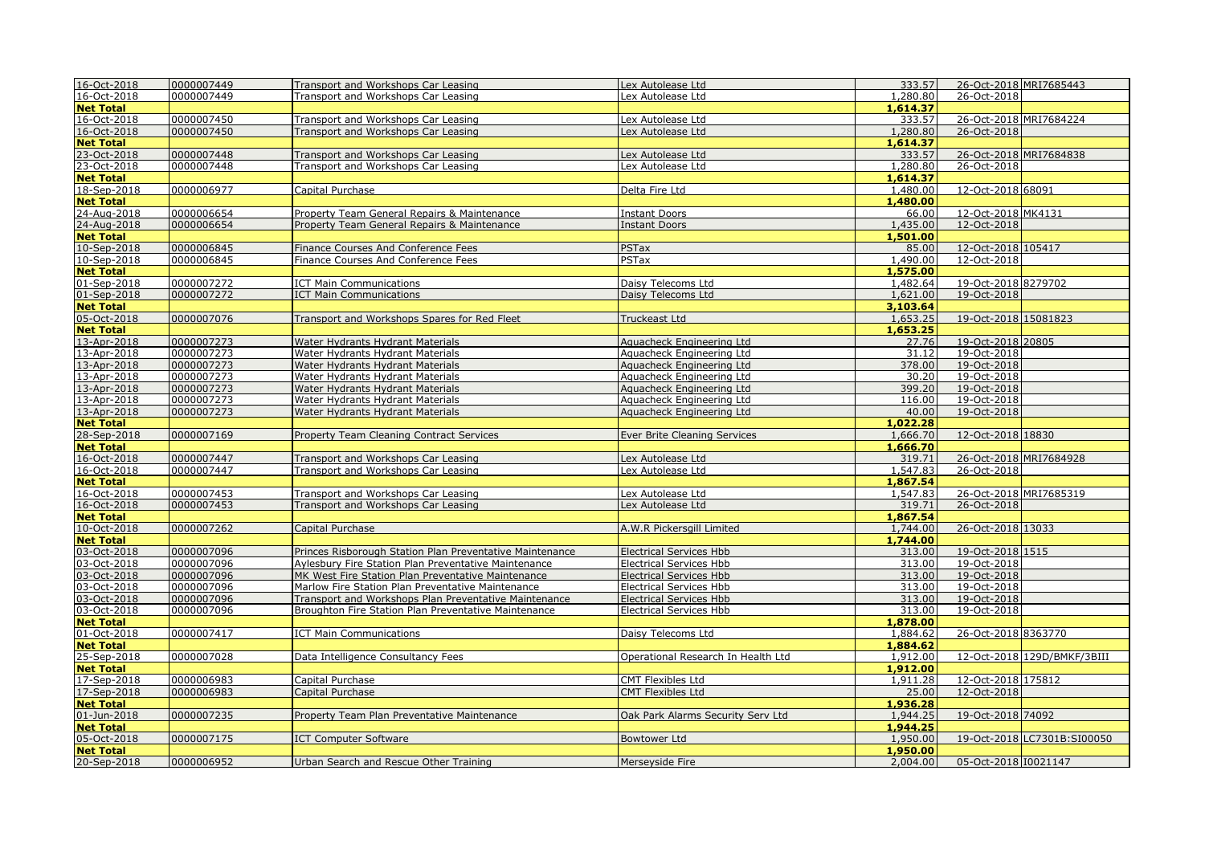| 16-Oct-2018                | 0000007449 | Transport and Workshops Car Leasing                      | Lex Autolease Ltd                  | 333.57         | 26-Oct-2018 MRI7685443 |                             |
|----------------------------|------------|----------------------------------------------------------|------------------------------------|----------------|------------------------|-----------------------------|
| 16-Oct-2018                | 0000007449 | Transport and Workshops Car Leasing                      | Lex Autolease Ltd                  | 1,280.80       | 26-Oct-2018            |                             |
| <b>Net Total</b>           |            |                                                          |                                    | 1,614.37       |                        |                             |
| 16-Oct-2018                | 0000007450 | Transport and Workshops Car Leasing                      | Lex Autolease Ltd                  | 333.57         | 26-Oct-2018 MRI7684224 |                             |
| 16-Oct-2018                | 0000007450 | Transport and Workshops Car Leasing                      | Lex Autolease Ltd                  | 1,280.80       | 26-Oct-2018            |                             |
| <b>Net Total</b>           |            |                                                          |                                    | 1,614.37       |                        |                             |
| 23-Oct-2018<br>23-Oct-2018 | 0000007448 | Transport and Workshops Car Leasing                      | Lex Autolease Ltd                  | 333.57         | 26-Oct-2018 MRI7684838 |                             |
|                            | 0000007448 | Transport and Workshops Car Leasing                      | Lex Autolease Ltd                  | 1,280.80       | 26-Oct-2018            |                             |
| <b>Net Total</b>           |            |                                                          |                                    | 1,614.37       |                        |                             |
| 18-Sep-2018                | 0000006977 | Capital Purchase                                         | Delta Fire Ltd                     | 1,480.00       | 12-Oct-2018 68091      |                             |
| <b>Net Total</b>           |            |                                                          |                                    | 1,480.00       |                        |                             |
| 24-Aug-2018                | 0000006654 | Property Team General Repairs & Maintenance              | <b>Instant Doors</b>               | 66.00          | 12-Oct-2018 MK4131     |                             |
| 24-Aug-2018                | 0000006654 | Property Team General Repairs & Maintenance              | <b>Instant Doors</b>               | 1,435.00       | 12-Oct-2018            |                             |
| <b>Net Total</b>           |            |                                                          |                                    | 1,501.00       |                        |                             |
| 10-Sep-2018                | 0000006845 | Finance Courses And Conference Fees                      | PSTax                              | 85.00          | 12-Oct-2018 105417     |                             |
| 10-Sep-2018                | 0000006845 | Finance Courses And Conference Fees                      | PSTax                              | 1,490.00       | 12-Oct-2018            |                             |
| <b>Net Total</b>           |            |                                                          |                                    | 1,575.00       |                        |                             |
| 01-Sep-2018                | 0000007272 | <b>ICT Main Communications</b>                           | Daisy Telecoms Ltd                 | 1,482.64       | 19-Oct-2018 8279702    |                             |
| 01-Sep-2018                | 0000007272 | <b>ICT Main Communications</b>                           | Daisy Telecoms Ltd                 | 1,621.00       | 19-Oct-2018            |                             |
| <b>Net Total</b>           |            |                                                          |                                    | 3,103.64       |                        |                             |
| 05-Oct-2018                | 0000007076 | Transport and Workshops Spares for Red Fleet             | Truckeast Ltd                      | 1,653.25       | 19-Oct-2018 15081823   |                             |
| <b>Net Total</b>           |            |                                                          |                                    | 1,653.25       |                        |                             |
|                            |            |                                                          |                                    |                |                        |                             |
| 13-Apr-2018                | 0000007273 | Water Hydrants Hydrant Materials                         | Aquacheck Engineering Ltd          | 27.76<br>31.12 | 19-Oct-2018 20805      |                             |
| 13-Apr-2018                | 0000007273 | Water Hydrants Hydrant Materials                         | Aquacheck Engineering Ltd          |                | 19-Oct-2018            |                             |
| 13-Apr-2018                | 0000007273 | Water Hydrants Hydrant Materials                         | Aguacheck Engineering Ltd          | 378.00         | 19-Oct-2018            |                             |
| 13-Apr-2018                | 0000007273 | Water Hydrants Hydrant Materials                         | Aquacheck Engineering Ltd          | 30.20          | 19-Oct-2018            |                             |
| 13-Apr-2018                | 0000007273 | Water Hydrants Hydrant Materials                         | Aquacheck Engineering Ltd          | 399.20         | 19-Oct-2018            |                             |
| 13-Apr-2018                | 0000007273 | Water Hydrants Hydrant Materials                         | Aquacheck Engineering Ltd          | 116.00         | 19-Oct-2018            |                             |
| 13-Apr-2018                | 0000007273 | Water Hydrants Hydrant Materials                         | Aquacheck Engineering Ltd          | 40.00          | 19-Oct-2018            |                             |
| <b>Net Total</b>           |            |                                                          |                                    | 1.022.28       |                        |                             |
| 28-Sep-2018                | 0000007169 | Property Team Cleaning Contract Services                 | Ever Brite Cleaning Services       | 1,666.70       | 12-Oct-2018 18830      |                             |
| <b>Net Total</b>           |            |                                                          |                                    | 1,666.70       |                        |                             |
| 16-Oct-2018                | 0000007447 | Transport and Workshops Car Leasing                      | Lex Autolease Ltd                  | 319.71         | 26-Oct-2018 MRI7684928 |                             |
| 16-Oct-2018                | 0000007447 | Transport and Workshops Car Leasing                      | Lex Autolease Ltd                  | 1,547.83       | 26-Oct-2018            |                             |
| <b>Net Total</b>           |            |                                                          |                                    | 1,867.54       |                        |                             |
| 16-Oct-2018                | 0000007453 | Transport and Workshops Car Leasing                      | Lex Autolease Ltd                  | 1,547.83       | 26-Oct-2018 MRI7685319 |                             |
| 16-Oct-2018                | 0000007453 | Transport and Workshops Car Leasing                      | Lex Autolease Ltd                  | 319.71         | 26-Oct-2018            |                             |
| <b>Net Total</b>           |            |                                                          |                                    | 1,867.54       |                        |                             |
| 10-Oct-2018                | 0000007262 | Capital Purchase                                         | A.W.R Pickersgill Limited          | 1,744.00       | 26-Oct-2018 13033      |                             |
| <b>Net Total</b>           |            |                                                          |                                    | 1,744.00       |                        |                             |
| 03-Oct-2018                | 0000007096 | Princes Risborough Station Plan Preventative Maintenance | <b>Electrical Services Hbb</b>     | 313.00         | 19-Oct-2018 1515       |                             |
| 03-Oct-2018<br>03-Oct-2018 | 0000007096 | Aylesbury Fire Station Plan Preventative Maintenance     | <b>Electrical Services Hbb</b>     | 313.00         | 19-Oct-2018            |                             |
|                            | 0000007096 | MK West Fire Station Plan Preventative Maintenance       | <b>Electrical Services Hbb</b>     | 313.00         | 19-Oct-2018            |                             |
| 03-Oct-2018                | 0000007096 | Marlow Fire Station Plan Preventative Maintenance        | <b>Electrical Services Hbb</b>     | 313.00         | 19-Oct-2018            |                             |
| 03-Oct-2018                | 0000007096 | Transport and Workshops Plan Preventative Maintenance    | <b>Electrical Services Hbb</b>     | 313.00         | 19-Oct-2018            |                             |
| 03-Oct-2018                | 0000007096 | Broughton Fire Station Plan Preventative Maintenance     | Electrical Services Hbb            | 313.00         | 19-Oct-2018            |                             |
| <b>Net Total</b>           |            |                                                          |                                    | 1,878.00       |                        |                             |
| 01-Oct-2018                | 0000007417 | <b>ICT Main Communications</b>                           | Daisy Telecoms Ltd                 | 1,884.62       | 26-Oct-2018 8363770    |                             |
| <b>Net Total</b>           |            |                                                          |                                    | 1,884.62       |                        |                             |
| 25-Sep-2018                | 0000007028 | Data Intelligence Consultancy Fees                       | Operational Research In Health Ltd | 1,912.00       |                        | 12-Oct-2018 129D/BMKF/3BIII |
| <b>Net Total</b>           |            |                                                          |                                    | 1,912.00       |                        |                             |
| 17-Sep-2018                | 0000006983 | Capital Purchase                                         | <b>CMT Flexibles Ltd</b>           | 1,911.28       | 12-Oct-2018 175812     |                             |
| 17-Sep-2018                | 0000006983 | Capital Purchase                                         | <b>CMT Flexibles Ltd</b>           | 25.00          | 12-Oct-2018            |                             |
| <b>Net Total</b>           |            |                                                          |                                    | 1,936,28       |                        |                             |
| 01-Jun-2018                | 0000007235 | Property Team Plan Preventative Maintenance              | Oak Park Alarms Security Serv Ltd  | 1,944.25       | 19-Oct-2018 74092      |                             |
| <b>Net Total</b>           |            |                                                          |                                    | 1.944.25       |                        |                             |
| 05-Oct-2018                | 0000007175 | <b>ICT Computer Software</b>                             | Bowtower Ltd                       | 1,950.00       |                        | 19-Oct-2018 LC7301B:SI00050 |
| <b>Net Total</b>           |            |                                                          |                                    | 1,950.00       |                        |                             |
| 20-Sep-2018                | 0000006952 | Urban Search and Rescue Other Training                   | Merseyside Fire                    | 2,004.00       | 05-Oct-2018 10021147   |                             |
|                            |            |                                                          |                                    |                |                        |                             |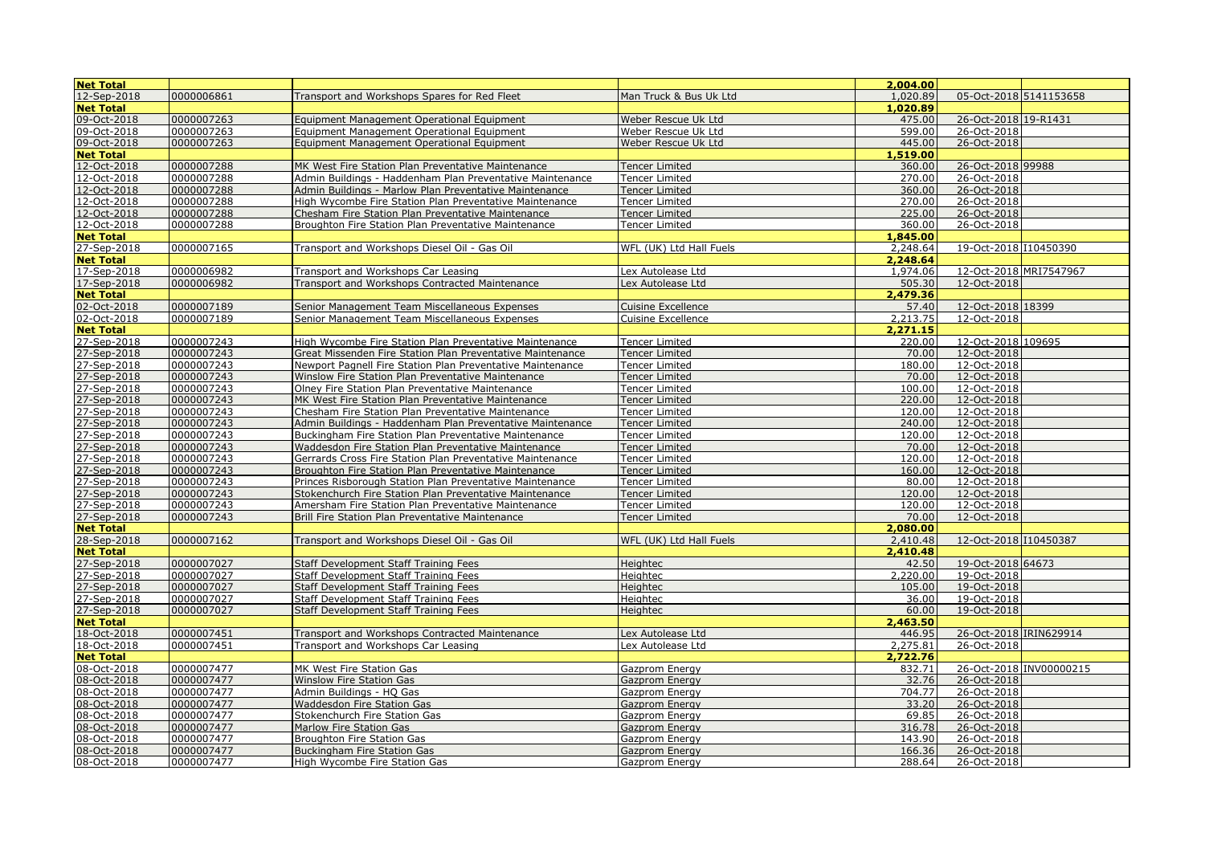| 12-Sep-2018<br>0000006861<br>1,020.89<br>05-Oct-2018 5141153658<br>Transport and Workshops Spares for Red Fleet<br>Man Truck & Bus Uk Ltd<br><b>Net Total</b><br>1,020.89<br>09-Oct-2018<br>0000007263<br>Weber Rescue Uk Ltd<br>475.00<br>26-Oct-2018 19-R1431<br>Equipment Management Operational Equipment<br>09-Oct-2018<br>0000007263<br>599.00<br>26-Oct-2018<br>Weber Rescue Uk Ltd<br>Equipment Management Operational Equipment<br>26-Oct-2018<br>09-Oct-2018<br>0000007263<br>Weber Rescue Uk Ltd<br>445.00<br>Equipment Management Operational Equipment<br>1.519.00<br><b>Net Total</b><br>12-Oct-2018<br>0000007288<br>26-Oct-2018 99988<br>MK West Fire Station Plan Preventative Maintenance<br><b>Tencer Limited</b><br>360.00<br>12-Oct-2018<br>0000007288<br>26-Oct-2018<br>Admin Buildings - Haddenham Plan Preventative Maintenance<br><b>Tencer Limited</b><br>270.00<br>12-Oct-2018<br>0000007288<br>360.00<br>26-Oct-2018<br>Admin Buildings - Marlow Plan Preventative Maintenance<br><b>Tencer Limited</b><br>12-Oct-2018<br>0000007288<br>270.00<br>26-Oct-2018<br>High Wycombe Fire Station Plan Preventative Maintenance<br><b>Tencer Limited</b><br>12-Oct-2018<br>0000007288<br>225.00<br>26-Oct-2018<br>Chesham Fire Station Plan Preventative Maintenance<br>Tencer Limited<br>12-Oct-2018<br>0000007288<br>Tencer Limited<br>360.00<br>26-Oct-2018<br>Broughton Fire Station Plan Preventative Maintenance<br>1,845.00<br><b>Net Total</b><br>0000007165<br>19-Oct-2018 110450390<br>27-Sep-2018<br>Transport and Workshops Diesel Oil - Gas Oil<br>WFL (UK) Ltd Hall Fuels<br>2,248.64<br><b>Net Total</b><br>2,248.64<br>17-Sep-2018<br>0000006982<br>1,974.06<br>12-Oct-2018 MRI7547967<br>Transport and Workshops Car Leasing<br>Lex Autolease Ltd<br>17-Sep-2018<br>0000006982<br>505.30<br>12-Oct-2018<br>Transport and Workshops Contracted Maintenance<br>Lex Autolease Ltd<br><b>Net Total</b><br>2,479.36<br>02-Oct-2018<br>57.40<br>12-Oct-2018 18399<br>0000007189<br>Senior Management Team Miscellaneous Expenses<br><b>Cuisine Excellence</b><br>02-Oct-2018<br>0000007189<br>2,213.75<br>12-Oct-2018<br>Senior Management Team Miscellaneous Expenses<br><b>Cuisine Excellence</b><br><b>Net Total</b><br>2,271.15<br>27-Sep-2018<br>0000007243<br>220.00<br>12-Oct-2018 109695<br>High Wycombe Fire Station Plan Preventative Maintenance<br>Tencer Limited<br>27-Sep-2018<br>0000007243<br>70.00<br>12-Oct-2018<br>Great Missenden Fire Station Plan Preventative Maintenance<br><b>Tencer Limited</b><br>27-Sep-2018<br>27-Sep-2018<br>0000007243<br>180.00<br>12-Oct-2018<br>Newport Pagnell Fire Station Plan Preventative Maintenance<br><b>Tencer Limited</b><br>70.00<br>12-Oct-2018<br>0000007243<br>Winslow Fire Station Plan Preventative Maintenance<br><b>Tencer Limited</b><br>27-Sep-2018<br>12-Oct-2018<br>0000007243<br>Olney Fire Station Plan Preventative Maintenance<br>100.00<br>Tencer Limited<br>27-Sep-2018<br>0000007243<br>220.00<br>12-Oct-2018<br>MK West Fire Station Plan Preventative Maintenance<br><b>Tencer Limited</b><br>12-Oct-2018<br>27-Sep-2018<br>27-Sep-2018<br>0000007243<br>120.00<br>Chesham Fire Station Plan Preventative Maintenance<br><b>Tencer Limited</b><br>0000007243<br>240.00<br>12-Oct-2018<br>Admin Buildings - Haddenham Plan Preventative Maintenance<br>Tencer Limited<br>27-Sep-2018<br>$12 - Oct-2018$<br>0000007243<br>120.00<br>Buckingham Fire Station Plan Preventative Maintenance<br>Tencer Limited<br>27-Sep-2018<br>0000007243<br>70.00<br>12-Oct-2018<br>Waddesdon Fire Station Plan Preventative Maintenance<br><b>Tencer Limited</b><br>27-Sep-2018<br>27-Sep-2018<br>27-Sep-2018<br>0000007243<br>120.00<br>12-Oct-2018<br>Gerrards Cross Fire Station Plan Preventative Maintenance<br>Tencer Limited<br>0000007243<br>Broughton Fire Station Plan Preventative Maintenance<br>160.00<br>12-Oct-2018<br><b>Tencer Limited</b><br>0000007243<br>80.00<br>12-Oct-2018<br>Princes Risborough Station Plan Preventative Maintenance<br>Tencer Limited<br>12-Oct-2018<br>27-Sep-2018<br>0000007243<br>Stokenchurch Fire Station Plan Preventative Maintenance<br>120.00<br><b>Tencer Limited</b><br>27-Sep-2018<br>0000007243<br>120.00<br>12-Oct-2018<br>Amersham Fire Station Plan Preventative Maintenance<br>Tencer Limited<br>27-Sep-2018<br>0000007243<br>70.00<br>12-Oct-2018<br>Brill Fire Station Plan Preventative Maintenance<br><b>Tencer Limited</b><br><b>Net Total</b><br>2,080.00<br>28-Sep-2018<br>0000007162<br>2,410.48<br>12-Oct-2018 I10450387<br>Transport and Workshops Diesel Oil - Gas Oil<br>WFL (UK) Ltd Hall Fuels<br><b>Net Total</b><br>2,410.48<br>27-Sep-2018<br>27-Sep-2018<br>0000007027<br>19-Oct-2018 64673<br>Staff Development Staff Training Fees<br>Heightec<br>42.50<br>0000007027<br>2,220.00<br>19-Oct-2018<br>Heightec<br>Staff Development Staff Training Fees<br>27-Sep-2018<br>0000007027<br>Staff Development Staff Training Fees<br>Heightec<br>105.00<br>19-Oct-2018<br>27-Sep-2018<br>19-Oct-2018<br>0000007027<br>36.00<br>Staff Development Staff Training Fees<br>Heightec<br>27-Sep-2018<br>60.00<br>19-Oct-2018<br>0000007027<br>Staff Development Staff Training Fees<br>Heightec<br><b>Net Total</b><br>2,463.50<br>18-Oct-2018<br>446.95<br>26-Oct-2018 IRIN629914<br>0000007451<br>Transport and Workshops Contracted Maintenance<br>Lex Autolease Ltd<br>18-Oct-2018<br>0000007451<br>2,275.81<br>26-Oct-2018<br>Transport and Workshops Car Leasing<br>Lex Autolease Ltd<br><b>Net Total</b><br>2,722.76<br>0000007477<br>26-Oct-2018 INV00000215<br>08-Oct-2018<br>MK West Fire Station Gas<br>832.71<br>Gazprom Energy<br>08-Oct-2018<br>0000007477<br>32.76<br>26-Oct-2018<br>Winslow Fire Station Gas<br>Gazprom Energy<br>08-Oct-2018<br>0000007477<br>704.77<br>26-Oct-2018<br>Admin Buildings - HQ Gas<br>Gazprom Energy<br>08-Oct-2018<br>0000007477<br>33.20<br>26-Oct-2018<br><b>Waddesdon Fire Station Gas</b><br>Gazprom Energy<br>08-Oct-2018<br>69.85<br>26-Oct-2018<br>0000007477<br>Stokenchurch Fire Station Gas<br>Gazprom Energy<br>08-Oct-2018<br>0000007477<br>316.78<br>26-Oct-2018<br>Marlow Fire Station Gas<br>Gazprom Energy<br>08-Oct-2018<br>0000007477<br>143.90<br>26-Oct-2018<br><b>Broughton Fire Station Gas</b><br>Gazprom Energy<br>08-Oct-2018<br>0000007477<br>166.36<br>26-Oct-2018<br><b>Buckingham Fire Station Gas</b><br>Gazprom Energy | <b>Net Total</b> |            |                               |                | 2,004.00 |             |  |
|--------------------------------------------------------------------------------------------------------------------------------------------------------------------------------------------------------------------------------------------------------------------------------------------------------------------------------------------------------------------------------------------------------------------------------------------------------------------------------------------------------------------------------------------------------------------------------------------------------------------------------------------------------------------------------------------------------------------------------------------------------------------------------------------------------------------------------------------------------------------------------------------------------------------------------------------------------------------------------------------------------------------------------------------------------------------------------------------------------------------------------------------------------------------------------------------------------------------------------------------------------------------------------------------------------------------------------------------------------------------------------------------------------------------------------------------------------------------------------------------------------------------------------------------------------------------------------------------------------------------------------------------------------------------------------------------------------------------------------------------------------------------------------------------------------------------------------------------------------------------------------------------------------------------------------------------------------------------------------------------------------------------------------------------------------------------------------------------------------------------------------------------------------------------------------------------------------------------------------------------------------------------------------------------------------------------------------------------------------------------------------------------------------------------------------------------------------------------------------------------------------------------------------------------------------------------------------------------------------------------------------------------------------------------------------------------------------------------------------------------------------------------------------------------------------------------------------------------------------------------------------------------------------------------------------------------------------------------------------------------------------------------------------------------------------------------------------------------------------------------------------------------------------------------------------------------------------------------------------------------------------------------------------------------------------------------------------------------------------------------------------------------------------------------------------------------------------------------------------------------------------------------------------------------------------------------------------------------------------------------------------------------------------------------------------------------------------------------------------------------------------------------------------------------------------------------------------------------------------------------------------------------------------------------------------------------------------------------------------------------------------------------------------------------------------------------------------------------------------------------------------------------------------------------------------------------------------------------------------------------------------------------------------------------------------------------------------------------------------------------------------------------------------------------------------------------------------------------------------------------------------------------------------------------------------------------------------------------------------------------------------------------------------------------------------------------------------------------------------------------------------------------------------------------------------------------------------------------------------------------------------------------------------------------------------------------------------------------------------------------------------------------------------------------------------------------------------------------------------------------------------------------------------------------------------------------------------------------------------------------------------------------------------------------------------------------------------------------------------------------------------------------------------------------------------------------------------------------------------------------------------------------------------------------------------------------------------------------------------------------------------------------------------------------------------------------------------------------------------------------------------------------------------------------------------------------------------------------------------------------------------------------------------------------------------------------------------------------------------------------------------------------------------------------------------------------------------------------------------------------------------------------------------------------------------------------------------------------------------------------------------------------------------------------------------------------------------------------------------------------------------------------------------------------------------------------------------------------------|------------------|------------|-------------------------------|----------------|----------|-------------|--|
|                                                                                                                                                                                                                                                                                                                                                                                                                                                                                                                                                                                                                                                                                                                                                                                                                                                                                                                                                                                                                                                                                                                                                                                                                                                                                                                                                                                                                                                                                                                                                                                                                                                                                                                                                                                                                                                                                                                                                                                                                                                                                                                                                                                                                                                                                                                                                                                                                                                                                                                                                                                                                                                                                                                                                                                                                                                                                                                                                                                                                                                                                                                                                                                                                                                                                                                                                                                                                                                                                                                                                                                                                                                                                                                                                                                                                                                                                                                                                                                                                                                                                                                                                                                                                                                                                                                                                                                                                                                                                                                                                                                                                                                                                                                                                                                                                                                                                                                                                                                                                                                                                                                                                                                                                                                                                                                                                                                                                                                                                                                                                                                                                                                                                                                                                                                                                                                                                                                                                                                                                                                                                                                                                                                                                                                                                                                                                                                                                                                                          |                  |            |                               |                |          |             |  |
|                                                                                                                                                                                                                                                                                                                                                                                                                                                                                                                                                                                                                                                                                                                                                                                                                                                                                                                                                                                                                                                                                                                                                                                                                                                                                                                                                                                                                                                                                                                                                                                                                                                                                                                                                                                                                                                                                                                                                                                                                                                                                                                                                                                                                                                                                                                                                                                                                                                                                                                                                                                                                                                                                                                                                                                                                                                                                                                                                                                                                                                                                                                                                                                                                                                                                                                                                                                                                                                                                                                                                                                                                                                                                                                                                                                                                                                                                                                                                                                                                                                                                                                                                                                                                                                                                                                                                                                                                                                                                                                                                                                                                                                                                                                                                                                                                                                                                                                                                                                                                                                                                                                                                                                                                                                                                                                                                                                                                                                                                                                                                                                                                                                                                                                                                                                                                                                                                                                                                                                                                                                                                                                                                                                                                                                                                                                                                                                                                                                                          |                  |            |                               |                |          |             |  |
|                                                                                                                                                                                                                                                                                                                                                                                                                                                                                                                                                                                                                                                                                                                                                                                                                                                                                                                                                                                                                                                                                                                                                                                                                                                                                                                                                                                                                                                                                                                                                                                                                                                                                                                                                                                                                                                                                                                                                                                                                                                                                                                                                                                                                                                                                                                                                                                                                                                                                                                                                                                                                                                                                                                                                                                                                                                                                                                                                                                                                                                                                                                                                                                                                                                                                                                                                                                                                                                                                                                                                                                                                                                                                                                                                                                                                                                                                                                                                                                                                                                                                                                                                                                                                                                                                                                                                                                                                                                                                                                                                                                                                                                                                                                                                                                                                                                                                                                                                                                                                                                                                                                                                                                                                                                                                                                                                                                                                                                                                                                                                                                                                                                                                                                                                                                                                                                                                                                                                                                                                                                                                                                                                                                                                                                                                                                                                                                                                                                                          |                  |            |                               |                |          |             |  |
|                                                                                                                                                                                                                                                                                                                                                                                                                                                                                                                                                                                                                                                                                                                                                                                                                                                                                                                                                                                                                                                                                                                                                                                                                                                                                                                                                                                                                                                                                                                                                                                                                                                                                                                                                                                                                                                                                                                                                                                                                                                                                                                                                                                                                                                                                                                                                                                                                                                                                                                                                                                                                                                                                                                                                                                                                                                                                                                                                                                                                                                                                                                                                                                                                                                                                                                                                                                                                                                                                                                                                                                                                                                                                                                                                                                                                                                                                                                                                                                                                                                                                                                                                                                                                                                                                                                                                                                                                                                                                                                                                                                                                                                                                                                                                                                                                                                                                                                                                                                                                                                                                                                                                                                                                                                                                                                                                                                                                                                                                                                                                                                                                                                                                                                                                                                                                                                                                                                                                                                                                                                                                                                                                                                                                                                                                                                                                                                                                                                                          |                  |            |                               |                |          |             |  |
|                                                                                                                                                                                                                                                                                                                                                                                                                                                                                                                                                                                                                                                                                                                                                                                                                                                                                                                                                                                                                                                                                                                                                                                                                                                                                                                                                                                                                                                                                                                                                                                                                                                                                                                                                                                                                                                                                                                                                                                                                                                                                                                                                                                                                                                                                                                                                                                                                                                                                                                                                                                                                                                                                                                                                                                                                                                                                                                                                                                                                                                                                                                                                                                                                                                                                                                                                                                                                                                                                                                                                                                                                                                                                                                                                                                                                                                                                                                                                                                                                                                                                                                                                                                                                                                                                                                                                                                                                                                                                                                                                                                                                                                                                                                                                                                                                                                                                                                                                                                                                                                                                                                                                                                                                                                                                                                                                                                                                                                                                                                                                                                                                                                                                                                                                                                                                                                                                                                                                                                                                                                                                                                                                                                                                                                                                                                                                                                                                                                                          |                  |            |                               |                |          |             |  |
|                                                                                                                                                                                                                                                                                                                                                                                                                                                                                                                                                                                                                                                                                                                                                                                                                                                                                                                                                                                                                                                                                                                                                                                                                                                                                                                                                                                                                                                                                                                                                                                                                                                                                                                                                                                                                                                                                                                                                                                                                                                                                                                                                                                                                                                                                                                                                                                                                                                                                                                                                                                                                                                                                                                                                                                                                                                                                                                                                                                                                                                                                                                                                                                                                                                                                                                                                                                                                                                                                                                                                                                                                                                                                                                                                                                                                                                                                                                                                                                                                                                                                                                                                                                                                                                                                                                                                                                                                                                                                                                                                                                                                                                                                                                                                                                                                                                                                                                                                                                                                                                                                                                                                                                                                                                                                                                                                                                                                                                                                                                                                                                                                                                                                                                                                                                                                                                                                                                                                                                                                                                                                                                                                                                                                                                                                                                                                                                                                                                                          |                  |            |                               |                |          |             |  |
|                                                                                                                                                                                                                                                                                                                                                                                                                                                                                                                                                                                                                                                                                                                                                                                                                                                                                                                                                                                                                                                                                                                                                                                                                                                                                                                                                                                                                                                                                                                                                                                                                                                                                                                                                                                                                                                                                                                                                                                                                                                                                                                                                                                                                                                                                                                                                                                                                                                                                                                                                                                                                                                                                                                                                                                                                                                                                                                                                                                                                                                                                                                                                                                                                                                                                                                                                                                                                                                                                                                                                                                                                                                                                                                                                                                                                                                                                                                                                                                                                                                                                                                                                                                                                                                                                                                                                                                                                                                                                                                                                                                                                                                                                                                                                                                                                                                                                                                                                                                                                                                                                                                                                                                                                                                                                                                                                                                                                                                                                                                                                                                                                                                                                                                                                                                                                                                                                                                                                                                                                                                                                                                                                                                                                                                                                                                                                                                                                                                                          |                  |            |                               |                |          |             |  |
|                                                                                                                                                                                                                                                                                                                                                                                                                                                                                                                                                                                                                                                                                                                                                                                                                                                                                                                                                                                                                                                                                                                                                                                                                                                                                                                                                                                                                                                                                                                                                                                                                                                                                                                                                                                                                                                                                                                                                                                                                                                                                                                                                                                                                                                                                                                                                                                                                                                                                                                                                                                                                                                                                                                                                                                                                                                                                                                                                                                                                                                                                                                                                                                                                                                                                                                                                                                                                                                                                                                                                                                                                                                                                                                                                                                                                                                                                                                                                                                                                                                                                                                                                                                                                                                                                                                                                                                                                                                                                                                                                                                                                                                                                                                                                                                                                                                                                                                                                                                                                                                                                                                                                                                                                                                                                                                                                                                                                                                                                                                                                                                                                                                                                                                                                                                                                                                                                                                                                                                                                                                                                                                                                                                                                                                                                                                                                                                                                                                                          |                  |            |                               |                |          |             |  |
|                                                                                                                                                                                                                                                                                                                                                                                                                                                                                                                                                                                                                                                                                                                                                                                                                                                                                                                                                                                                                                                                                                                                                                                                                                                                                                                                                                                                                                                                                                                                                                                                                                                                                                                                                                                                                                                                                                                                                                                                                                                                                                                                                                                                                                                                                                                                                                                                                                                                                                                                                                                                                                                                                                                                                                                                                                                                                                                                                                                                                                                                                                                                                                                                                                                                                                                                                                                                                                                                                                                                                                                                                                                                                                                                                                                                                                                                                                                                                                                                                                                                                                                                                                                                                                                                                                                                                                                                                                                                                                                                                                                                                                                                                                                                                                                                                                                                                                                                                                                                                                                                                                                                                                                                                                                                                                                                                                                                                                                                                                                                                                                                                                                                                                                                                                                                                                                                                                                                                                                                                                                                                                                                                                                                                                                                                                                                                                                                                                                                          |                  |            |                               |                |          |             |  |
|                                                                                                                                                                                                                                                                                                                                                                                                                                                                                                                                                                                                                                                                                                                                                                                                                                                                                                                                                                                                                                                                                                                                                                                                                                                                                                                                                                                                                                                                                                                                                                                                                                                                                                                                                                                                                                                                                                                                                                                                                                                                                                                                                                                                                                                                                                                                                                                                                                                                                                                                                                                                                                                                                                                                                                                                                                                                                                                                                                                                                                                                                                                                                                                                                                                                                                                                                                                                                                                                                                                                                                                                                                                                                                                                                                                                                                                                                                                                                                                                                                                                                                                                                                                                                                                                                                                                                                                                                                                                                                                                                                                                                                                                                                                                                                                                                                                                                                                                                                                                                                                                                                                                                                                                                                                                                                                                                                                                                                                                                                                                                                                                                                                                                                                                                                                                                                                                                                                                                                                                                                                                                                                                                                                                                                                                                                                                                                                                                                                                          |                  |            |                               |                |          |             |  |
|                                                                                                                                                                                                                                                                                                                                                                                                                                                                                                                                                                                                                                                                                                                                                                                                                                                                                                                                                                                                                                                                                                                                                                                                                                                                                                                                                                                                                                                                                                                                                                                                                                                                                                                                                                                                                                                                                                                                                                                                                                                                                                                                                                                                                                                                                                                                                                                                                                                                                                                                                                                                                                                                                                                                                                                                                                                                                                                                                                                                                                                                                                                                                                                                                                                                                                                                                                                                                                                                                                                                                                                                                                                                                                                                                                                                                                                                                                                                                                                                                                                                                                                                                                                                                                                                                                                                                                                                                                                                                                                                                                                                                                                                                                                                                                                                                                                                                                                                                                                                                                                                                                                                                                                                                                                                                                                                                                                                                                                                                                                                                                                                                                                                                                                                                                                                                                                                                                                                                                                                                                                                                                                                                                                                                                                                                                                                                                                                                                                                          |                  |            |                               |                |          |             |  |
|                                                                                                                                                                                                                                                                                                                                                                                                                                                                                                                                                                                                                                                                                                                                                                                                                                                                                                                                                                                                                                                                                                                                                                                                                                                                                                                                                                                                                                                                                                                                                                                                                                                                                                                                                                                                                                                                                                                                                                                                                                                                                                                                                                                                                                                                                                                                                                                                                                                                                                                                                                                                                                                                                                                                                                                                                                                                                                                                                                                                                                                                                                                                                                                                                                                                                                                                                                                                                                                                                                                                                                                                                                                                                                                                                                                                                                                                                                                                                                                                                                                                                                                                                                                                                                                                                                                                                                                                                                                                                                                                                                                                                                                                                                                                                                                                                                                                                                                                                                                                                                                                                                                                                                                                                                                                                                                                                                                                                                                                                                                                                                                                                                                                                                                                                                                                                                                                                                                                                                                                                                                                                                                                                                                                                                                                                                                                                                                                                                                                          |                  |            |                               |                |          |             |  |
|                                                                                                                                                                                                                                                                                                                                                                                                                                                                                                                                                                                                                                                                                                                                                                                                                                                                                                                                                                                                                                                                                                                                                                                                                                                                                                                                                                                                                                                                                                                                                                                                                                                                                                                                                                                                                                                                                                                                                                                                                                                                                                                                                                                                                                                                                                                                                                                                                                                                                                                                                                                                                                                                                                                                                                                                                                                                                                                                                                                                                                                                                                                                                                                                                                                                                                                                                                                                                                                                                                                                                                                                                                                                                                                                                                                                                                                                                                                                                                                                                                                                                                                                                                                                                                                                                                                                                                                                                                                                                                                                                                                                                                                                                                                                                                                                                                                                                                                                                                                                                                                                                                                                                                                                                                                                                                                                                                                                                                                                                                                                                                                                                                                                                                                                                                                                                                                                                                                                                                                                                                                                                                                                                                                                                                                                                                                                                                                                                                                                          |                  |            |                               |                |          |             |  |
|                                                                                                                                                                                                                                                                                                                                                                                                                                                                                                                                                                                                                                                                                                                                                                                                                                                                                                                                                                                                                                                                                                                                                                                                                                                                                                                                                                                                                                                                                                                                                                                                                                                                                                                                                                                                                                                                                                                                                                                                                                                                                                                                                                                                                                                                                                                                                                                                                                                                                                                                                                                                                                                                                                                                                                                                                                                                                                                                                                                                                                                                                                                                                                                                                                                                                                                                                                                                                                                                                                                                                                                                                                                                                                                                                                                                                                                                                                                                                                                                                                                                                                                                                                                                                                                                                                                                                                                                                                                                                                                                                                                                                                                                                                                                                                                                                                                                                                                                                                                                                                                                                                                                                                                                                                                                                                                                                                                                                                                                                                                                                                                                                                                                                                                                                                                                                                                                                                                                                                                                                                                                                                                                                                                                                                                                                                                                                                                                                                                                          |                  |            |                               |                |          |             |  |
|                                                                                                                                                                                                                                                                                                                                                                                                                                                                                                                                                                                                                                                                                                                                                                                                                                                                                                                                                                                                                                                                                                                                                                                                                                                                                                                                                                                                                                                                                                                                                                                                                                                                                                                                                                                                                                                                                                                                                                                                                                                                                                                                                                                                                                                                                                                                                                                                                                                                                                                                                                                                                                                                                                                                                                                                                                                                                                                                                                                                                                                                                                                                                                                                                                                                                                                                                                                                                                                                                                                                                                                                                                                                                                                                                                                                                                                                                                                                                                                                                                                                                                                                                                                                                                                                                                                                                                                                                                                                                                                                                                                                                                                                                                                                                                                                                                                                                                                                                                                                                                                                                                                                                                                                                                                                                                                                                                                                                                                                                                                                                                                                                                                                                                                                                                                                                                                                                                                                                                                                                                                                                                                                                                                                                                                                                                                                                                                                                                                                          |                  |            |                               |                |          |             |  |
|                                                                                                                                                                                                                                                                                                                                                                                                                                                                                                                                                                                                                                                                                                                                                                                                                                                                                                                                                                                                                                                                                                                                                                                                                                                                                                                                                                                                                                                                                                                                                                                                                                                                                                                                                                                                                                                                                                                                                                                                                                                                                                                                                                                                                                                                                                                                                                                                                                                                                                                                                                                                                                                                                                                                                                                                                                                                                                                                                                                                                                                                                                                                                                                                                                                                                                                                                                                                                                                                                                                                                                                                                                                                                                                                                                                                                                                                                                                                                                                                                                                                                                                                                                                                                                                                                                                                                                                                                                                                                                                                                                                                                                                                                                                                                                                                                                                                                                                                                                                                                                                                                                                                                                                                                                                                                                                                                                                                                                                                                                                                                                                                                                                                                                                                                                                                                                                                                                                                                                                                                                                                                                                                                                                                                                                                                                                                                                                                                                                                          |                  |            |                               |                |          |             |  |
|                                                                                                                                                                                                                                                                                                                                                                                                                                                                                                                                                                                                                                                                                                                                                                                                                                                                                                                                                                                                                                                                                                                                                                                                                                                                                                                                                                                                                                                                                                                                                                                                                                                                                                                                                                                                                                                                                                                                                                                                                                                                                                                                                                                                                                                                                                                                                                                                                                                                                                                                                                                                                                                                                                                                                                                                                                                                                                                                                                                                                                                                                                                                                                                                                                                                                                                                                                                                                                                                                                                                                                                                                                                                                                                                                                                                                                                                                                                                                                                                                                                                                                                                                                                                                                                                                                                                                                                                                                                                                                                                                                                                                                                                                                                                                                                                                                                                                                                                                                                                                                                                                                                                                                                                                                                                                                                                                                                                                                                                                                                                                                                                                                                                                                                                                                                                                                                                                                                                                                                                                                                                                                                                                                                                                                                                                                                                                                                                                                                                          |                  |            |                               |                |          |             |  |
|                                                                                                                                                                                                                                                                                                                                                                                                                                                                                                                                                                                                                                                                                                                                                                                                                                                                                                                                                                                                                                                                                                                                                                                                                                                                                                                                                                                                                                                                                                                                                                                                                                                                                                                                                                                                                                                                                                                                                                                                                                                                                                                                                                                                                                                                                                                                                                                                                                                                                                                                                                                                                                                                                                                                                                                                                                                                                                                                                                                                                                                                                                                                                                                                                                                                                                                                                                                                                                                                                                                                                                                                                                                                                                                                                                                                                                                                                                                                                                                                                                                                                                                                                                                                                                                                                                                                                                                                                                                                                                                                                                                                                                                                                                                                                                                                                                                                                                                                                                                                                                                                                                                                                                                                                                                                                                                                                                                                                                                                                                                                                                                                                                                                                                                                                                                                                                                                                                                                                                                                                                                                                                                                                                                                                                                                                                                                                                                                                                                                          |                  |            |                               |                |          |             |  |
|                                                                                                                                                                                                                                                                                                                                                                                                                                                                                                                                                                                                                                                                                                                                                                                                                                                                                                                                                                                                                                                                                                                                                                                                                                                                                                                                                                                                                                                                                                                                                                                                                                                                                                                                                                                                                                                                                                                                                                                                                                                                                                                                                                                                                                                                                                                                                                                                                                                                                                                                                                                                                                                                                                                                                                                                                                                                                                                                                                                                                                                                                                                                                                                                                                                                                                                                                                                                                                                                                                                                                                                                                                                                                                                                                                                                                                                                                                                                                                                                                                                                                                                                                                                                                                                                                                                                                                                                                                                                                                                                                                                                                                                                                                                                                                                                                                                                                                                                                                                                                                                                                                                                                                                                                                                                                                                                                                                                                                                                                                                                                                                                                                                                                                                                                                                                                                                                                                                                                                                                                                                                                                                                                                                                                                                                                                                                                                                                                                                                          |                  |            |                               |                |          |             |  |
|                                                                                                                                                                                                                                                                                                                                                                                                                                                                                                                                                                                                                                                                                                                                                                                                                                                                                                                                                                                                                                                                                                                                                                                                                                                                                                                                                                                                                                                                                                                                                                                                                                                                                                                                                                                                                                                                                                                                                                                                                                                                                                                                                                                                                                                                                                                                                                                                                                                                                                                                                                                                                                                                                                                                                                                                                                                                                                                                                                                                                                                                                                                                                                                                                                                                                                                                                                                                                                                                                                                                                                                                                                                                                                                                                                                                                                                                                                                                                                                                                                                                                                                                                                                                                                                                                                                                                                                                                                                                                                                                                                                                                                                                                                                                                                                                                                                                                                                                                                                                                                                                                                                                                                                                                                                                                                                                                                                                                                                                                                                                                                                                                                                                                                                                                                                                                                                                                                                                                                                                                                                                                                                                                                                                                                                                                                                                                                                                                                                                          |                  |            |                               |                |          |             |  |
|                                                                                                                                                                                                                                                                                                                                                                                                                                                                                                                                                                                                                                                                                                                                                                                                                                                                                                                                                                                                                                                                                                                                                                                                                                                                                                                                                                                                                                                                                                                                                                                                                                                                                                                                                                                                                                                                                                                                                                                                                                                                                                                                                                                                                                                                                                                                                                                                                                                                                                                                                                                                                                                                                                                                                                                                                                                                                                                                                                                                                                                                                                                                                                                                                                                                                                                                                                                                                                                                                                                                                                                                                                                                                                                                                                                                                                                                                                                                                                                                                                                                                                                                                                                                                                                                                                                                                                                                                                                                                                                                                                                                                                                                                                                                                                                                                                                                                                                                                                                                                                                                                                                                                                                                                                                                                                                                                                                                                                                                                                                                                                                                                                                                                                                                                                                                                                                                                                                                                                                                                                                                                                                                                                                                                                                                                                                                                                                                                                                                          |                  |            |                               |                |          |             |  |
|                                                                                                                                                                                                                                                                                                                                                                                                                                                                                                                                                                                                                                                                                                                                                                                                                                                                                                                                                                                                                                                                                                                                                                                                                                                                                                                                                                                                                                                                                                                                                                                                                                                                                                                                                                                                                                                                                                                                                                                                                                                                                                                                                                                                                                                                                                                                                                                                                                                                                                                                                                                                                                                                                                                                                                                                                                                                                                                                                                                                                                                                                                                                                                                                                                                                                                                                                                                                                                                                                                                                                                                                                                                                                                                                                                                                                                                                                                                                                                                                                                                                                                                                                                                                                                                                                                                                                                                                                                                                                                                                                                                                                                                                                                                                                                                                                                                                                                                                                                                                                                                                                                                                                                                                                                                                                                                                                                                                                                                                                                                                                                                                                                                                                                                                                                                                                                                                                                                                                                                                                                                                                                                                                                                                                                                                                                                                                                                                                                                                          |                  |            |                               |                |          |             |  |
|                                                                                                                                                                                                                                                                                                                                                                                                                                                                                                                                                                                                                                                                                                                                                                                                                                                                                                                                                                                                                                                                                                                                                                                                                                                                                                                                                                                                                                                                                                                                                                                                                                                                                                                                                                                                                                                                                                                                                                                                                                                                                                                                                                                                                                                                                                                                                                                                                                                                                                                                                                                                                                                                                                                                                                                                                                                                                                                                                                                                                                                                                                                                                                                                                                                                                                                                                                                                                                                                                                                                                                                                                                                                                                                                                                                                                                                                                                                                                                                                                                                                                                                                                                                                                                                                                                                                                                                                                                                                                                                                                                                                                                                                                                                                                                                                                                                                                                                                                                                                                                                                                                                                                                                                                                                                                                                                                                                                                                                                                                                                                                                                                                                                                                                                                                                                                                                                                                                                                                                                                                                                                                                                                                                                                                                                                                                                                                                                                                                                          |                  |            |                               |                |          |             |  |
|                                                                                                                                                                                                                                                                                                                                                                                                                                                                                                                                                                                                                                                                                                                                                                                                                                                                                                                                                                                                                                                                                                                                                                                                                                                                                                                                                                                                                                                                                                                                                                                                                                                                                                                                                                                                                                                                                                                                                                                                                                                                                                                                                                                                                                                                                                                                                                                                                                                                                                                                                                                                                                                                                                                                                                                                                                                                                                                                                                                                                                                                                                                                                                                                                                                                                                                                                                                                                                                                                                                                                                                                                                                                                                                                                                                                                                                                                                                                                                                                                                                                                                                                                                                                                                                                                                                                                                                                                                                                                                                                                                                                                                                                                                                                                                                                                                                                                                                                                                                                                                                                                                                                                                                                                                                                                                                                                                                                                                                                                                                                                                                                                                                                                                                                                                                                                                                                                                                                                                                                                                                                                                                                                                                                                                                                                                                                                                                                                                                                          |                  |            |                               |                |          |             |  |
|                                                                                                                                                                                                                                                                                                                                                                                                                                                                                                                                                                                                                                                                                                                                                                                                                                                                                                                                                                                                                                                                                                                                                                                                                                                                                                                                                                                                                                                                                                                                                                                                                                                                                                                                                                                                                                                                                                                                                                                                                                                                                                                                                                                                                                                                                                                                                                                                                                                                                                                                                                                                                                                                                                                                                                                                                                                                                                                                                                                                                                                                                                                                                                                                                                                                                                                                                                                                                                                                                                                                                                                                                                                                                                                                                                                                                                                                                                                                                                                                                                                                                                                                                                                                                                                                                                                                                                                                                                                                                                                                                                                                                                                                                                                                                                                                                                                                                                                                                                                                                                                                                                                                                                                                                                                                                                                                                                                                                                                                                                                                                                                                                                                                                                                                                                                                                                                                                                                                                                                                                                                                                                                                                                                                                                                                                                                                                                                                                                                                          |                  |            |                               |                |          |             |  |
|                                                                                                                                                                                                                                                                                                                                                                                                                                                                                                                                                                                                                                                                                                                                                                                                                                                                                                                                                                                                                                                                                                                                                                                                                                                                                                                                                                                                                                                                                                                                                                                                                                                                                                                                                                                                                                                                                                                                                                                                                                                                                                                                                                                                                                                                                                                                                                                                                                                                                                                                                                                                                                                                                                                                                                                                                                                                                                                                                                                                                                                                                                                                                                                                                                                                                                                                                                                                                                                                                                                                                                                                                                                                                                                                                                                                                                                                                                                                                                                                                                                                                                                                                                                                                                                                                                                                                                                                                                                                                                                                                                                                                                                                                                                                                                                                                                                                                                                                                                                                                                                                                                                                                                                                                                                                                                                                                                                                                                                                                                                                                                                                                                                                                                                                                                                                                                                                                                                                                                                                                                                                                                                                                                                                                                                                                                                                                                                                                                                                          |                  |            |                               |                |          |             |  |
|                                                                                                                                                                                                                                                                                                                                                                                                                                                                                                                                                                                                                                                                                                                                                                                                                                                                                                                                                                                                                                                                                                                                                                                                                                                                                                                                                                                                                                                                                                                                                                                                                                                                                                                                                                                                                                                                                                                                                                                                                                                                                                                                                                                                                                                                                                                                                                                                                                                                                                                                                                                                                                                                                                                                                                                                                                                                                                                                                                                                                                                                                                                                                                                                                                                                                                                                                                                                                                                                                                                                                                                                                                                                                                                                                                                                                                                                                                                                                                                                                                                                                                                                                                                                                                                                                                                                                                                                                                                                                                                                                                                                                                                                                                                                                                                                                                                                                                                                                                                                                                                                                                                                                                                                                                                                                                                                                                                                                                                                                                                                                                                                                                                                                                                                                                                                                                                                                                                                                                                                                                                                                                                                                                                                                                                                                                                                                                                                                                                                          |                  |            |                               |                |          |             |  |
|                                                                                                                                                                                                                                                                                                                                                                                                                                                                                                                                                                                                                                                                                                                                                                                                                                                                                                                                                                                                                                                                                                                                                                                                                                                                                                                                                                                                                                                                                                                                                                                                                                                                                                                                                                                                                                                                                                                                                                                                                                                                                                                                                                                                                                                                                                                                                                                                                                                                                                                                                                                                                                                                                                                                                                                                                                                                                                                                                                                                                                                                                                                                                                                                                                                                                                                                                                                                                                                                                                                                                                                                                                                                                                                                                                                                                                                                                                                                                                                                                                                                                                                                                                                                                                                                                                                                                                                                                                                                                                                                                                                                                                                                                                                                                                                                                                                                                                                                                                                                                                                                                                                                                                                                                                                                                                                                                                                                                                                                                                                                                                                                                                                                                                                                                                                                                                                                                                                                                                                                                                                                                                                                                                                                                                                                                                                                                                                                                                                                          |                  |            |                               |                |          |             |  |
|                                                                                                                                                                                                                                                                                                                                                                                                                                                                                                                                                                                                                                                                                                                                                                                                                                                                                                                                                                                                                                                                                                                                                                                                                                                                                                                                                                                                                                                                                                                                                                                                                                                                                                                                                                                                                                                                                                                                                                                                                                                                                                                                                                                                                                                                                                                                                                                                                                                                                                                                                                                                                                                                                                                                                                                                                                                                                                                                                                                                                                                                                                                                                                                                                                                                                                                                                                                                                                                                                                                                                                                                                                                                                                                                                                                                                                                                                                                                                                                                                                                                                                                                                                                                                                                                                                                                                                                                                                                                                                                                                                                                                                                                                                                                                                                                                                                                                                                                                                                                                                                                                                                                                                                                                                                                                                                                                                                                                                                                                                                                                                                                                                                                                                                                                                                                                                                                                                                                                                                                                                                                                                                                                                                                                                                                                                                                                                                                                                                                          |                  |            |                               |                |          |             |  |
|                                                                                                                                                                                                                                                                                                                                                                                                                                                                                                                                                                                                                                                                                                                                                                                                                                                                                                                                                                                                                                                                                                                                                                                                                                                                                                                                                                                                                                                                                                                                                                                                                                                                                                                                                                                                                                                                                                                                                                                                                                                                                                                                                                                                                                                                                                                                                                                                                                                                                                                                                                                                                                                                                                                                                                                                                                                                                                                                                                                                                                                                                                                                                                                                                                                                                                                                                                                                                                                                                                                                                                                                                                                                                                                                                                                                                                                                                                                                                                                                                                                                                                                                                                                                                                                                                                                                                                                                                                                                                                                                                                                                                                                                                                                                                                                                                                                                                                                                                                                                                                                                                                                                                                                                                                                                                                                                                                                                                                                                                                                                                                                                                                                                                                                                                                                                                                                                                                                                                                                                                                                                                                                                                                                                                                                                                                                                                                                                                                                                          |                  |            |                               |                |          |             |  |
|                                                                                                                                                                                                                                                                                                                                                                                                                                                                                                                                                                                                                                                                                                                                                                                                                                                                                                                                                                                                                                                                                                                                                                                                                                                                                                                                                                                                                                                                                                                                                                                                                                                                                                                                                                                                                                                                                                                                                                                                                                                                                                                                                                                                                                                                                                                                                                                                                                                                                                                                                                                                                                                                                                                                                                                                                                                                                                                                                                                                                                                                                                                                                                                                                                                                                                                                                                                                                                                                                                                                                                                                                                                                                                                                                                                                                                                                                                                                                                                                                                                                                                                                                                                                                                                                                                                                                                                                                                                                                                                                                                                                                                                                                                                                                                                                                                                                                                                                                                                                                                                                                                                                                                                                                                                                                                                                                                                                                                                                                                                                                                                                                                                                                                                                                                                                                                                                                                                                                                                                                                                                                                                                                                                                                                                                                                                                                                                                                                                                          |                  |            |                               |                |          |             |  |
|                                                                                                                                                                                                                                                                                                                                                                                                                                                                                                                                                                                                                                                                                                                                                                                                                                                                                                                                                                                                                                                                                                                                                                                                                                                                                                                                                                                                                                                                                                                                                                                                                                                                                                                                                                                                                                                                                                                                                                                                                                                                                                                                                                                                                                                                                                                                                                                                                                                                                                                                                                                                                                                                                                                                                                                                                                                                                                                                                                                                                                                                                                                                                                                                                                                                                                                                                                                                                                                                                                                                                                                                                                                                                                                                                                                                                                                                                                                                                                                                                                                                                                                                                                                                                                                                                                                                                                                                                                                                                                                                                                                                                                                                                                                                                                                                                                                                                                                                                                                                                                                                                                                                                                                                                                                                                                                                                                                                                                                                                                                                                                                                                                                                                                                                                                                                                                                                                                                                                                                                                                                                                                                                                                                                                                                                                                                                                                                                                                                                          |                  |            |                               |                |          |             |  |
|                                                                                                                                                                                                                                                                                                                                                                                                                                                                                                                                                                                                                                                                                                                                                                                                                                                                                                                                                                                                                                                                                                                                                                                                                                                                                                                                                                                                                                                                                                                                                                                                                                                                                                                                                                                                                                                                                                                                                                                                                                                                                                                                                                                                                                                                                                                                                                                                                                                                                                                                                                                                                                                                                                                                                                                                                                                                                                                                                                                                                                                                                                                                                                                                                                                                                                                                                                                                                                                                                                                                                                                                                                                                                                                                                                                                                                                                                                                                                                                                                                                                                                                                                                                                                                                                                                                                                                                                                                                                                                                                                                                                                                                                                                                                                                                                                                                                                                                                                                                                                                                                                                                                                                                                                                                                                                                                                                                                                                                                                                                                                                                                                                                                                                                                                                                                                                                                                                                                                                                                                                                                                                                                                                                                                                                                                                                                                                                                                                                                          |                  |            |                               |                |          |             |  |
|                                                                                                                                                                                                                                                                                                                                                                                                                                                                                                                                                                                                                                                                                                                                                                                                                                                                                                                                                                                                                                                                                                                                                                                                                                                                                                                                                                                                                                                                                                                                                                                                                                                                                                                                                                                                                                                                                                                                                                                                                                                                                                                                                                                                                                                                                                                                                                                                                                                                                                                                                                                                                                                                                                                                                                                                                                                                                                                                                                                                                                                                                                                                                                                                                                                                                                                                                                                                                                                                                                                                                                                                                                                                                                                                                                                                                                                                                                                                                                                                                                                                                                                                                                                                                                                                                                                                                                                                                                                                                                                                                                                                                                                                                                                                                                                                                                                                                                                                                                                                                                                                                                                                                                                                                                                                                                                                                                                                                                                                                                                                                                                                                                                                                                                                                                                                                                                                                                                                                                                                                                                                                                                                                                                                                                                                                                                                                                                                                                                                          |                  |            |                               |                |          |             |  |
|                                                                                                                                                                                                                                                                                                                                                                                                                                                                                                                                                                                                                                                                                                                                                                                                                                                                                                                                                                                                                                                                                                                                                                                                                                                                                                                                                                                                                                                                                                                                                                                                                                                                                                                                                                                                                                                                                                                                                                                                                                                                                                                                                                                                                                                                                                                                                                                                                                                                                                                                                                                                                                                                                                                                                                                                                                                                                                                                                                                                                                                                                                                                                                                                                                                                                                                                                                                                                                                                                                                                                                                                                                                                                                                                                                                                                                                                                                                                                                                                                                                                                                                                                                                                                                                                                                                                                                                                                                                                                                                                                                                                                                                                                                                                                                                                                                                                                                                                                                                                                                                                                                                                                                                                                                                                                                                                                                                                                                                                                                                                                                                                                                                                                                                                                                                                                                                                                                                                                                                                                                                                                                                                                                                                                                                                                                                                                                                                                                                                          |                  |            |                               |                |          |             |  |
|                                                                                                                                                                                                                                                                                                                                                                                                                                                                                                                                                                                                                                                                                                                                                                                                                                                                                                                                                                                                                                                                                                                                                                                                                                                                                                                                                                                                                                                                                                                                                                                                                                                                                                                                                                                                                                                                                                                                                                                                                                                                                                                                                                                                                                                                                                                                                                                                                                                                                                                                                                                                                                                                                                                                                                                                                                                                                                                                                                                                                                                                                                                                                                                                                                                                                                                                                                                                                                                                                                                                                                                                                                                                                                                                                                                                                                                                                                                                                                                                                                                                                                                                                                                                                                                                                                                                                                                                                                                                                                                                                                                                                                                                                                                                                                                                                                                                                                                                                                                                                                                                                                                                                                                                                                                                                                                                                                                                                                                                                                                                                                                                                                                                                                                                                                                                                                                                                                                                                                                                                                                                                                                                                                                                                                                                                                                                                                                                                                                                          |                  |            |                               |                |          |             |  |
|                                                                                                                                                                                                                                                                                                                                                                                                                                                                                                                                                                                                                                                                                                                                                                                                                                                                                                                                                                                                                                                                                                                                                                                                                                                                                                                                                                                                                                                                                                                                                                                                                                                                                                                                                                                                                                                                                                                                                                                                                                                                                                                                                                                                                                                                                                                                                                                                                                                                                                                                                                                                                                                                                                                                                                                                                                                                                                                                                                                                                                                                                                                                                                                                                                                                                                                                                                                                                                                                                                                                                                                                                                                                                                                                                                                                                                                                                                                                                                                                                                                                                                                                                                                                                                                                                                                                                                                                                                                                                                                                                                                                                                                                                                                                                                                                                                                                                                                                                                                                                                                                                                                                                                                                                                                                                                                                                                                                                                                                                                                                                                                                                                                                                                                                                                                                                                                                                                                                                                                                                                                                                                                                                                                                                                                                                                                                                                                                                                                                          |                  |            |                               |                |          |             |  |
|                                                                                                                                                                                                                                                                                                                                                                                                                                                                                                                                                                                                                                                                                                                                                                                                                                                                                                                                                                                                                                                                                                                                                                                                                                                                                                                                                                                                                                                                                                                                                                                                                                                                                                                                                                                                                                                                                                                                                                                                                                                                                                                                                                                                                                                                                                                                                                                                                                                                                                                                                                                                                                                                                                                                                                                                                                                                                                                                                                                                                                                                                                                                                                                                                                                                                                                                                                                                                                                                                                                                                                                                                                                                                                                                                                                                                                                                                                                                                                                                                                                                                                                                                                                                                                                                                                                                                                                                                                                                                                                                                                                                                                                                                                                                                                                                                                                                                                                                                                                                                                                                                                                                                                                                                                                                                                                                                                                                                                                                                                                                                                                                                                                                                                                                                                                                                                                                                                                                                                                                                                                                                                                                                                                                                                                                                                                                                                                                                                                                          |                  |            |                               |                |          |             |  |
|                                                                                                                                                                                                                                                                                                                                                                                                                                                                                                                                                                                                                                                                                                                                                                                                                                                                                                                                                                                                                                                                                                                                                                                                                                                                                                                                                                                                                                                                                                                                                                                                                                                                                                                                                                                                                                                                                                                                                                                                                                                                                                                                                                                                                                                                                                                                                                                                                                                                                                                                                                                                                                                                                                                                                                                                                                                                                                                                                                                                                                                                                                                                                                                                                                                                                                                                                                                                                                                                                                                                                                                                                                                                                                                                                                                                                                                                                                                                                                                                                                                                                                                                                                                                                                                                                                                                                                                                                                                                                                                                                                                                                                                                                                                                                                                                                                                                                                                                                                                                                                                                                                                                                                                                                                                                                                                                                                                                                                                                                                                                                                                                                                                                                                                                                                                                                                                                                                                                                                                                                                                                                                                                                                                                                                                                                                                                                                                                                                                                          |                  |            |                               |                |          |             |  |
|                                                                                                                                                                                                                                                                                                                                                                                                                                                                                                                                                                                                                                                                                                                                                                                                                                                                                                                                                                                                                                                                                                                                                                                                                                                                                                                                                                                                                                                                                                                                                                                                                                                                                                                                                                                                                                                                                                                                                                                                                                                                                                                                                                                                                                                                                                                                                                                                                                                                                                                                                                                                                                                                                                                                                                                                                                                                                                                                                                                                                                                                                                                                                                                                                                                                                                                                                                                                                                                                                                                                                                                                                                                                                                                                                                                                                                                                                                                                                                                                                                                                                                                                                                                                                                                                                                                                                                                                                                                                                                                                                                                                                                                                                                                                                                                                                                                                                                                                                                                                                                                                                                                                                                                                                                                                                                                                                                                                                                                                                                                                                                                                                                                                                                                                                                                                                                                                                                                                                                                                                                                                                                                                                                                                                                                                                                                                                                                                                                                                          |                  |            |                               |                |          |             |  |
|                                                                                                                                                                                                                                                                                                                                                                                                                                                                                                                                                                                                                                                                                                                                                                                                                                                                                                                                                                                                                                                                                                                                                                                                                                                                                                                                                                                                                                                                                                                                                                                                                                                                                                                                                                                                                                                                                                                                                                                                                                                                                                                                                                                                                                                                                                                                                                                                                                                                                                                                                                                                                                                                                                                                                                                                                                                                                                                                                                                                                                                                                                                                                                                                                                                                                                                                                                                                                                                                                                                                                                                                                                                                                                                                                                                                                                                                                                                                                                                                                                                                                                                                                                                                                                                                                                                                                                                                                                                                                                                                                                                                                                                                                                                                                                                                                                                                                                                                                                                                                                                                                                                                                                                                                                                                                                                                                                                                                                                                                                                                                                                                                                                                                                                                                                                                                                                                                                                                                                                                                                                                                                                                                                                                                                                                                                                                                                                                                                                                          |                  |            |                               |                |          |             |  |
|                                                                                                                                                                                                                                                                                                                                                                                                                                                                                                                                                                                                                                                                                                                                                                                                                                                                                                                                                                                                                                                                                                                                                                                                                                                                                                                                                                                                                                                                                                                                                                                                                                                                                                                                                                                                                                                                                                                                                                                                                                                                                                                                                                                                                                                                                                                                                                                                                                                                                                                                                                                                                                                                                                                                                                                                                                                                                                                                                                                                                                                                                                                                                                                                                                                                                                                                                                                                                                                                                                                                                                                                                                                                                                                                                                                                                                                                                                                                                                                                                                                                                                                                                                                                                                                                                                                                                                                                                                                                                                                                                                                                                                                                                                                                                                                                                                                                                                                                                                                                                                                                                                                                                                                                                                                                                                                                                                                                                                                                                                                                                                                                                                                                                                                                                                                                                                                                                                                                                                                                                                                                                                                                                                                                                                                                                                                                                                                                                                                                          |                  |            |                               |                |          |             |  |
|                                                                                                                                                                                                                                                                                                                                                                                                                                                                                                                                                                                                                                                                                                                                                                                                                                                                                                                                                                                                                                                                                                                                                                                                                                                                                                                                                                                                                                                                                                                                                                                                                                                                                                                                                                                                                                                                                                                                                                                                                                                                                                                                                                                                                                                                                                                                                                                                                                                                                                                                                                                                                                                                                                                                                                                                                                                                                                                                                                                                                                                                                                                                                                                                                                                                                                                                                                                                                                                                                                                                                                                                                                                                                                                                                                                                                                                                                                                                                                                                                                                                                                                                                                                                                                                                                                                                                                                                                                                                                                                                                                                                                                                                                                                                                                                                                                                                                                                                                                                                                                                                                                                                                                                                                                                                                                                                                                                                                                                                                                                                                                                                                                                                                                                                                                                                                                                                                                                                                                                                                                                                                                                                                                                                                                                                                                                                                                                                                                                                          |                  |            |                               |                |          |             |  |
|                                                                                                                                                                                                                                                                                                                                                                                                                                                                                                                                                                                                                                                                                                                                                                                                                                                                                                                                                                                                                                                                                                                                                                                                                                                                                                                                                                                                                                                                                                                                                                                                                                                                                                                                                                                                                                                                                                                                                                                                                                                                                                                                                                                                                                                                                                                                                                                                                                                                                                                                                                                                                                                                                                                                                                                                                                                                                                                                                                                                                                                                                                                                                                                                                                                                                                                                                                                                                                                                                                                                                                                                                                                                                                                                                                                                                                                                                                                                                                                                                                                                                                                                                                                                                                                                                                                                                                                                                                                                                                                                                                                                                                                                                                                                                                                                                                                                                                                                                                                                                                                                                                                                                                                                                                                                                                                                                                                                                                                                                                                                                                                                                                                                                                                                                                                                                                                                                                                                                                                                                                                                                                                                                                                                                                                                                                                                                                                                                                                                          |                  |            |                               |                |          |             |  |
|                                                                                                                                                                                                                                                                                                                                                                                                                                                                                                                                                                                                                                                                                                                                                                                                                                                                                                                                                                                                                                                                                                                                                                                                                                                                                                                                                                                                                                                                                                                                                                                                                                                                                                                                                                                                                                                                                                                                                                                                                                                                                                                                                                                                                                                                                                                                                                                                                                                                                                                                                                                                                                                                                                                                                                                                                                                                                                                                                                                                                                                                                                                                                                                                                                                                                                                                                                                                                                                                                                                                                                                                                                                                                                                                                                                                                                                                                                                                                                                                                                                                                                                                                                                                                                                                                                                                                                                                                                                                                                                                                                                                                                                                                                                                                                                                                                                                                                                                                                                                                                                                                                                                                                                                                                                                                                                                                                                                                                                                                                                                                                                                                                                                                                                                                                                                                                                                                                                                                                                                                                                                                                                                                                                                                                                                                                                                                                                                                                                                          |                  |            |                               |                |          |             |  |
|                                                                                                                                                                                                                                                                                                                                                                                                                                                                                                                                                                                                                                                                                                                                                                                                                                                                                                                                                                                                                                                                                                                                                                                                                                                                                                                                                                                                                                                                                                                                                                                                                                                                                                                                                                                                                                                                                                                                                                                                                                                                                                                                                                                                                                                                                                                                                                                                                                                                                                                                                                                                                                                                                                                                                                                                                                                                                                                                                                                                                                                                                                                                                                                                                                                                                                                                                                                                                                                                                                                                                                                                                                                                                                                                                                                                                                                                                                                                                                                                                                                                                                                                                                                                                                                                                                                                                                                                                                                                                                                                                                                                                                                                                                                                                                                                                                                                                                                                                                                                                                                                                                                                                                                                                                                                                                                                                                                                                                                                                                                                                                                                                                                                                                                                                                                                                                                                                                                                                                                                                                                                                                                                                                                                                                                                                                                                                                                                                                                                          |                  |            |                               |                |          |             |  |
|                                                                                                                                                                                                                                                                                                                                                                                                                                                                                                                                                                                                                                                                                                                                                                                                                                                                                                                                                                                                                                                                                                                                                                                                                                                                                                                                                                                                                                                                                                                                                                                                                                                                                                                                                                                                                                                                                                                                                                                                                                                                                                                                                                                                                                                                                                                                                                                                                                                                                                                                                                                                                                                                                                                                                                                                                                                                                                                                                                                                                                                                                                                                                                                                                                                                                                                                                                                                                                                                                                                                                                                                                                                                                                                                                                                                                                                                                                                                                                                                                                                                                                                                                                                                                                                                                                                                                                                                                                                                                                                                                                                                                                                                                                                                                                                                                                                                                                                                                                                                                                                                                                                                                                                                                                                                                                                                                                                                                                                                                                                                                                                                                                                                                                                                                                                                                                                                                                                                                                                                                                                                                                                                                                                                                                                                                                                                                                                                                                                                          |                  |            |                               |                |          |             |  |
|                                                                                                                                                                                                                                                                                                                                                                                                                                                                                                                                                                                                                                                                                                                                                                                                                                                                                                                                                                                                                                                                                                                                                                                                                                                                                                                                                                                                                                                                                                                                                                                                                                                                                                                                                                                                                                                                                                                                                                                                                                                                                                                                                                                                                                                                                                                                                                                                                                                                                                                                                                                                                                                                                                                                                                                                                                                                                                                                                                                                                                                                                                                                                                                                                                                                                                                                                                                                                                                                                                                                                                                                                                                                                                                                                                                                                                                                                                                                                                                                                                                                                                                                                                                                                                                                                                                                                                                                                                                                                                                                                                                                                                                                                                                                                                                                                                                                                                                                                                                                                                                                                                                                                                                                                                                                                                                                                                                                                                                                                                                                                                                                                                                                                                                                                                                                                                                                                                                                                                                                                                                                                                                                                                                                                                                                                                                                                                                                                                                                          |                  |            |                               |                |          |             |  |
|                                                                                                                                                                                                                                                                                                                                                                                                                                                                                                                                                                                                                                                                                                                                                                                                                                                                                                                                                                                                                                                                                                                                                                                                                                                                                                                                                                                                                                                                                                                                                                                                                                                                                                                                                                                                                                                                                                                                                                                                                                                                                                                                                                                                                                                                                                                                                                                                                                                                                                                                                                                                                                                                                                                                                                                                                                                                                                                                                                                                                                                                                                                                                                                                                                                                                                                                                                                                                                                                                                                                                                                                                                                                                                                                                                                                                                                                                                                                                                                                                                                                                                                                                                                                                                                                                                                                                                                                                                                                                                                                                                                                                                                                                                                                                                                                                                                                                                                                                                                                                                                                                                                                                                                                                                                                                                                                                                                                                                                                                                                                                                                                                                                                                                                                                                                                                                                                                                                                                                                                                                                                                                                                                                                                                                                                                                                                                                                                                                                                          |                  |            |                               |                |          |             |  |
|                                                                                                                                                                                                                                                                                                                                                                                                                                                                                                                                                                                                                                                                                                                                                                                                                                                                                                                                                                                                                                                                                                                                                                                                                                                                                                                                                                                                                                                                                                                                                                                                                                                                                                                                                                                                                                                                                                                                                                                                                                                                                                                                                                                                                                                                                                                                                                                                                                                                                                                                                                                                                                                                                                                                                                                                                                                                                                                                                                                                                                                                                                                                                                                                                                                                                                                                                                                                                                                                                                                                                                                                                                                                                                                                                                                                                                                                                                                                                                                                                                                                                                                                                                                                                                                                                                                                                                                                                                                                                                                                                                                                                                                                                                                                                                                                                                                                                                                                                                                                                                                                                                                                                                                                                                                                                                                                                                                                                                                                                                                                                                                                                                                                                                                                                                                                                                                                                                                                                                                                                                                                                                                                                                                                                                                                                                                                                                                                                                                                          |                  |            |                               |                |          |             |  |
|                                                                                                                                                                                                                                                                                                                                                                                                                                                                                                                                                                                                                                                                                                                                                                                                                                                                                                                                                                                                                                                                                                                                                                                                                                                                                                                                                                                                                                                                                                                                                                                                                                                                                                                                                                                                                                                                                                                                                                                                                                                                                                                                                                                                                                                                                                                                                                                                                                                                                                                                                                                                                                                                                                                                                                                                                                                                                                                                                                                                                                                                                                                                                                                                                                                                                                                                                                                                                                                                                                                                                                                                                                                                                                                                                                                                                                                                                                                                                                                                                                                                                                                                                                                                                                                                                                                                                                                                                                                                                                                                                                                                                                                                                                                                                                                                                                                                                                                                                                                                                                                                                                                                                                                                                                                                                                                                                                                                                                                                                                                                                                                                                                                                                                                                                                                                                                                                                                                                                                                                                                                                                                                                                                                                                                                                                                                                                                                                                                                                          |                  |            |                               |                |          |             |  |
|                                                                                                                                                                                                                                                                                                                                                                                                                                                                                                                                                                                                                                                                                                                                                                                                                                                                                                                                                                                                                                                                                                                                                                                                                                                                                                                                                                                                                                                                                                                                                                                                                                                                                                                                                                                                                                                                                                                                                                                                                                                                                                                                                                                                                                                                                                                                                                                                                                                                                                                                                                                                                                                                                                                                                                                                                                                                                                                                                                                                                                                                                                                                                                                                                                                                                                                                                                                                                                                                                                                                                                                                                                                                                                                                                                                                                                                                                                                                                                                                                                                                                                                                                                                                                                                                                                                                                                                                                                                                                                                                                                                                                                                                                                                                                                                                                                                                                                                                                                                                                                                                                                                                                                                                                                                                                                                                                                                                                                                                                                                                                                                                                                                                                                                                                                                                                                                                                                                                                                                                                                                                                                                                                                                                                                                                                                                                                                                                                                                                          |                  |            |                               |                |          |             |  |
|                                                                                                                                                                                                                                                                                                                                                                                                                                                                                                                                                                                                                                                                                                                                                                                                                                                                                                                                                                                                                                                                                                                                                                                                                                                                                                                                                                                                                                                                                                                                                                                                                                                                                                                                                                                                                                                                                                                                                                                                                                                                                                                                                                                                                                                                                                                                                                                                                                                                                                                                                                                                                                                                                                                                                                                                                                                                                                                                                                                                                                                                                                                                                                                                                                                                                                                                                                                                                                                                                                                                                                                                                                                                                                                                                                                                                                                                                                                                                                                                                                                                                                                                                                                                                                                                                                                                                                                                                                                                                                                                                                                                                                                                                                                                                                                                                                                                                                                                                                                                                                                                                                                                                                                                                                                                                                                                                                                                                                                                                                                                                                                                                                                                                                                                                                                                                                                                                                                                                                                                                                                                                                                                                                                                                                                                                                                                                                                                                                                                          |                  |            |                               |                |          |             |  |
|                                                                                                                                                                                                                                                                                                                                                                                                                                                                                                                                                                                                                                                                                                                                                                                                                                                                                                                                                                                                                                                                                                                                                                                                                                                                                                                                                                                                                                                                                                                                                                                                                                                                                                                                                                                                                                                                                                                                                                                                                                                                                                                                                                                                                                                                                                                                                                                                                                                                                                                                                                                                                                                                                                                                                                                                                                                                                                                                                                                                                                                                                                                                                                                                                                                                                                                                                                                                                                                                                                                                                                                                                                                                                                                                                                                                                                                                                                                                                                                                                                                                                                                                                                                                                                                                                                                                                                                                                                                                                                                                                                                                                                                                                                                                                                                                                                                                                                                                                                                                                                                                                                                                                                                                                                                                                                                                                                                                                                                                                                                                                                                                                                                                                                                                                                                                                                                                                                                                                                                                                                                                                                                                                                                                                                                                                                                                                                                                                                                                          |                  |            |                               |                |          |             |  |
|                                                                                                                                                                                                                                                                                                                                                                                                                                                                                                                                                                                                                                                                                                                                                                                                                                                                                                                                                                                                                                                                                                                                                                                                                                                                                                                                                                                                                                                                                                                                                                                                                                                                                                                                                                                                                                                                                                                                                                                                                                                                                                                                                                                                                                                                                                                                                                                                                                                                                                                                                                                                                                                                                                                                                                                                                                                                                                                                                                                                                                                                                                                                                                                                                                                                                                                                                                                                                                                                                                                                                                                                                                                                                                                                                                                                                                                                                                                                                                                                                                                                                                                                                                                                                                                                                                                                                                                                                                                                                                                                                                                                                                                                                                                                                                                                                                                                                                                                                                                                                                                                                                                                                                                                                                                                                                                                                                                                                                                                                                                                                                                                                                                                                                                                                                                                                                                                                                                                                                                                                                                                                                                                                                                                                                                                                                                                                                                                                                                                          |                  |            |                               |                |          |             |  |
|                                                                                                                                                                                                                                                                                                                                                                                                                                                                                                                                                                                                                                                                                                                                                                                                                                                                                                                                                                                                                                                                                                                                                                                                                                                                                                                                                                                                                                                                                                                                                                                                                                                                                                                                                                                                                                                                                                                                                                                                                                                                                                                                                                                                                                                                                                                                                                                                                                                                                                                                                                                                                                                                                                                                                                                                                                                                                                                                                                                                                                                                                                                                                                                                                                                                                                                                                                                                                                                                                                                                                                                                                                                                                                                                                                                                                                                                                                                                                                                                                                                                                                                                                                                                                                                                                                                                                                                                                                                                                                                                                                                                                                                                                                                                                                                                                                                                                                                                                                                                                                                                                                                                                                                                                                                                                                                                                                                                                                                                                                                                                                                                                                                                                                                                                                                                                                                                                                                                                                                                                                                                                                                                                                                                                                                                                                                                                                                                                                                                          |                  |            |                               |                |          |             |  |
|                                                                                                                                                                                                                                                                                                                                                                                                                                                                                                                                                                                                                                                                                                                                                                                                                                                                                                                                                                                                                                                                                                                                                                                                                                                                                                                                                                                                                                                                                                                                                                                                                                                                                                                                                                                                                                                                                                                                                                                                                                                                                                                                                                                                                                                                                                                                                                                                                                                                                                                                                                                                                                                                                                                                                                                                                                                                                                                                                                                                                                                                                                                                                                                                                                                                                                                                                                                                                                                                                                                                                                                                                                                                                                                                                                                                                                                                                                                                                                                                                                                                                                                                                                                                                                                                                                                                                                                                                                                                                                                                                                                                                                                                                                                                                                                                                                                                                                                                                                                                                                                                                                                                                                                                                                                                                                                                                                                                                                                                                                                                                                                                                                                                                                                                                                                                                                                                                                                                                                                                                                                                                                                                                                                                                                                                                                                                                                                                                                                                          | 08-Oct-2018      | 0000007477 | High Wycombe Fire Station Gas | Gazprom Energy | 288.64   | 26-Oct-2018 |  |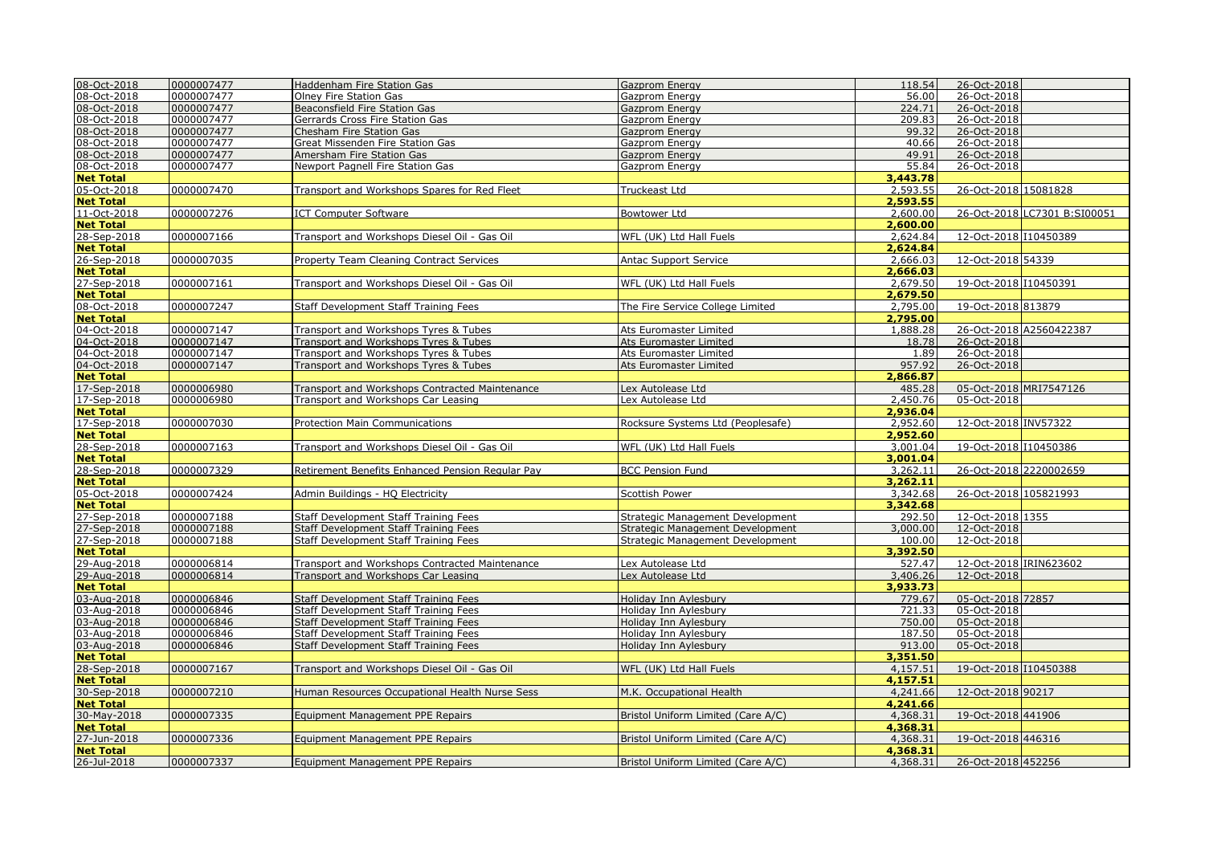| 08-Oct-2018      | 0000007477 | Haddenham Fire Station Gas                       | <b>Gazprom Energy</b>                   | 118.54   | 26-Oct-2018            |                              |
|------------------|------------|--------------------------------------------------|-----------------------------------------|----------|------------------------|------------------------------|
| 08-Oct-2018      | 0000007477 | Olney Fire Station Gas                           | Gazprom Energy                          | 56.00    | 26-Oct-2018            |                              |
| 08-Oct-2018      | 0000007477 | Beaconsfield Fire Station Gas                    | Gazprom Energy                          | 224.71   | 26-Oct-2018            |                              |
| 08-Oct-2018      | 0000007477 | Gerrards Cross Fire Station Gas                  | Gazprom Energy                          | 209.83   | 26-Oct-2018            |                              |
| 08-Oct-2018      | 0000007477 | Chesham Fire Station Gas                         | Gazprom Energy                          | 99.32    | 26-Oct-2018            |                              |
| 08-Oct-2018      | 0000007477 | Great Missenden Fire Station Gas                 | Gazprom Energy                          | 40.66    | 26-Oct-2018            |                              |
| 08-Oct-2018      | 0000007477 | Amersham Fire Station Gas                        | <b>Gazprom Energy</b>                   | 49.91    | 26-Oct-2018            |                              |
| 08-Oct-2018      | 0000007477 | Newport Pagnell Fire Station Gas                 | Gazprom Energy                          | 55.84    | 26-Oct-2018            |                              |
| <b>Net Total</b> |            |                                                  |                                         | 3,443,78 |                        |                              |
| 05-Oct-2018      | 0000007470 | Transport and Workshops Spares for Red Fleet     | Truckeast Ltd                           | 2,593.55 | 26-Oct-2018 15081828   |                              |
| <b>Net Total</b> |            |                                                  |                                         | 2,593.55 |                        |                              |
| 11-Oct-2018      | 0000007276 | <b>ICT Computer Software</b>                     | <b>Bowtower Ltd</b>                     | 2,600.00 |                        | 26-Oct-2018 LC7301 B:SI00051 |
| <b>Net Total</b> |            |                                                  |                                         | 2,600.00 |                        |                              |
| 28-Sep-2018      | 0000007166 | Transport and Workshops Diesel Oil - Gas Oil     | WFL (UK) Ltd Hall Fuels                 | 2,624.84 | 12-Oct-2018 110450389  |                              |
| <b>Net Total</b> |            |                                                  |                                         | 2,624.84 |                        |                              |
| 26-Sep-2018      | 0000007035 | Property Team Cleaning Contract Services         | <b>Antac Support Service</b>            | 2,666.03 | 12-Oct-2018 54339      |                              |
| <b>Net Total</b> |            |                                                  |                                         | 2,666.03 |                        |                              |
| 27-Sep-2018      | 0000007161 | Transport and Workshops Diesel Oil - Gas Oil     | WFL (UK) Ltd Hall Fuels                 | 2,679.50 | 19-Oct-2018 I10450391  |                              |
| <b>Net Total</b> |            |                                                  |                                         | 2,679.50 |                        |                              |
| 08-Oct-2018      | 0000007247 | <b>Staff Development Staff Training Fees</b>     | The Fire Service College Limited        | 2,795.00 | 19-Oct-2018 813879     |                              |
| <b>Net Total</b> |            |                                                  |                                         | 2,795.00 |                        |                              |
| 04-Oct-2018      | 0000007147 | Transport and Workshops Tyres & Tubes            | Ats Euromaster Limited                  | 1,888.28 |                        | 26-Oct-2018 A2560422387      |
| 04-Oct-2018      | 0000007147 | Transport and Workshops Tyres & Tubes            | Ats Euromaster Limited                  | 18.78    | 26-Oct-2018            |                              |
| 04-Oct-2018      | 0000007147 | Transport and Workshops Tyres & Tubes            | Ats Euromaster Limited                  | 1.89     | 26-Oct-2018            |                              |
| 04-Oct-2018      | 0000007147 | Transport and Workshops Tyres & Tubes            | Ats Euromaster Limited                  | 957.92   | 26-Oct-2018            |                              |
| <b>Net Total</b> |            |                                                  |                                         | 2,866.87 |                        |                              |
| 17-Sep-2018      | 0000006980 | Transport and Workshops Contracted Maintenance   | Lex Autolease Ltd                       | 485.28   | 05-Oct-2018 MRI7547126 |                              |
| 17-Sep-2018      | 0000006980 | Transport and Workshops Car Leasing              | Lex Autolease Ltd                       | 2,450.76 | 05-Oct-2018            |                              |
| <b>Net Total</b> |            |                                                  |                                         | 2,936.04 |                        |                              |
| 17-Sep-2018      | 0000007030 | <b>Protection Main Communications</b>            | Rocksure Systems Ltd (Peoplesafe)       | 2,952.60 | 12-Oct-2018 INV57322   |                              |
| <b>Net Total</b> |            |                                                  |                                         | 2,952.60 |                        |                              |
| 28-Sep-2018      | 0000007163 | Transport and Workshops Diesel Oil - Gas Oil     | WFL (UK) Ltd Hall Fuels                 | 3,001.04 | 19-Oct-2018 I10450386  |                              |
| <b>Net Total</b> |            |                                                  |                                         | 3,001.04 |                        |                              |
| 28-Sep-2018      | 0000007329 | Retirement Benefits Enhanced Pension Regular Pay | <b>BCC Pension Fund</b>                 | 3,262.11 | 26-Oct-2018 2220002659 |                              |
| <b>Net Total</b> |            |                                                  |                                         | 3,262.11 |                        |                              |
| 05-Oct-2018      | 0000007424 | Admin Buildings - HQ Electricity                 | <b>Scottish Power</b>                   | 3,342.68 | 26-Oct-2018 105821993  |                              |
| <b>Net Total</b> |            |                                                  |                                         | 3,342.68 |                        |                              |
| 27-Sep-2018      | 0000007188 | <b>Staff Development Staff Training Fees</b>     | <b>Strategic Management Development</b> | 292.50   | 12-Oct-2018 1355       |                              |
| 27-Sep-2018      | 0000007188 | Staff Development Staff Training Fees            | Strategic Management Development        | 3,000.00 | 12-Oct-2018            |                              |
| 27-Sep-2018      | 0000007188 | Staff Development Staff Training Fees            | Strategic Management Development        | 100.00   | 12-Oct-2018            |                              |
| <b>Net Total</b> |            |                                                  |                                         | 3,392.50 |                        |                              |
| 29-Aug-2018      | 0000006814 | Transport and Workshops Contracted Maintenance   | Lex Autolease Ltd                       | 527.47   | 12-Oct-2018 IRIN623602 |                              |
| 29-Aug-2018      | 0000006814 | Transport and Workshops Car Leasing              | Lex Autolease Ltd                       | 3,406.26 | 12-Oct-2018            |                              |
| <b>Net Total</b> |            |                                                  |                                         | 3,933.73 |                        |                              |
| 03-Aug-2018      | 0000006846 | Staff Development Staff Training Fees            | Holiday Inn Aylesbury                   | 779.67   | 05-Oct-2018 72857      |                              |
| 03-Aug-2018      | 0000006846 | Staff Development Staff Training Fees            | Holiday Inn Aylesbury                   | 721.33   | 05-Oct-2018            |                              |
| 03-Aug-2018      | 0000006846 | Staff Development Staff Training Fees            | Holiday Inn Aylesbury                   | 750.00   | 05-Oct-2018            |                              |
| 03-Aug-2018      | 0000006846 | Staff Development Staff Training Fees            | Holiday Inn Aylesbury                   | 187.50   | 05-Oct-2018            |                              |
| 03-Aug-2018      | 0000006846 | Staff Development Staff Training Fees            | Holiday Inn Aylesbury                   | 913.00   | 05-Oct-2018            |                              |
| <b>Net Total</b> |            |                                                  |                                         | 3,351,50 |                        |                              |
| 28-Sep-2018      | 0000007167 | Transport and Workshops Diesel Oil - Gas Oil     | WFL (UK) Ltd Hall Fuels                 | 4,157.51 | 19-Oct-2018 10450388   |                              |
| <b>Net Total</b> |            |                                                  |                                         | 4,157.51 |                        |                              |
| 30-Sep-2018      | 0000007210 | Human Resources Occupational Health Nurse Sess   | M.K. Occupational Health                | 4,241.66 | 12-Oct-2018 90217      |                              |
| <b>Net Total</b> |            |                                                  |                                         | 4,241.66 |                        |                              |
| 30-May-2018      | 0000007335 | <b>Equipment Management PPE Repairs</b>          | Bristol Uniform Limited (Care A/C)      | 4,368.31 | 19-Oct-2018 441906     |                              |
| <b>Net Total</b> |            |                                                  |                                         | 4,368.31 |                        |                              |
| 27-Jun-2018      | 0000007336 | <b>Equipment Management PPE Repairs</b>          | Bristol Uniform Limited (Care A/C)      | 4,368.31 | 19-Oct-2018 446316     |                              |
| <b>Net Total</b> |            |                                                  |                                         | 4,368.31 |                        |                              |
| 26-Jul-2018      | 0000007337 | Equipment Management PPE Repairs                 | Bristol Uniform Limited (Care A/C)      | 4,368.31 | 26-Oct-2018 452256     |                              |
|                  |            |                                                  |                                         |          |                        |                              |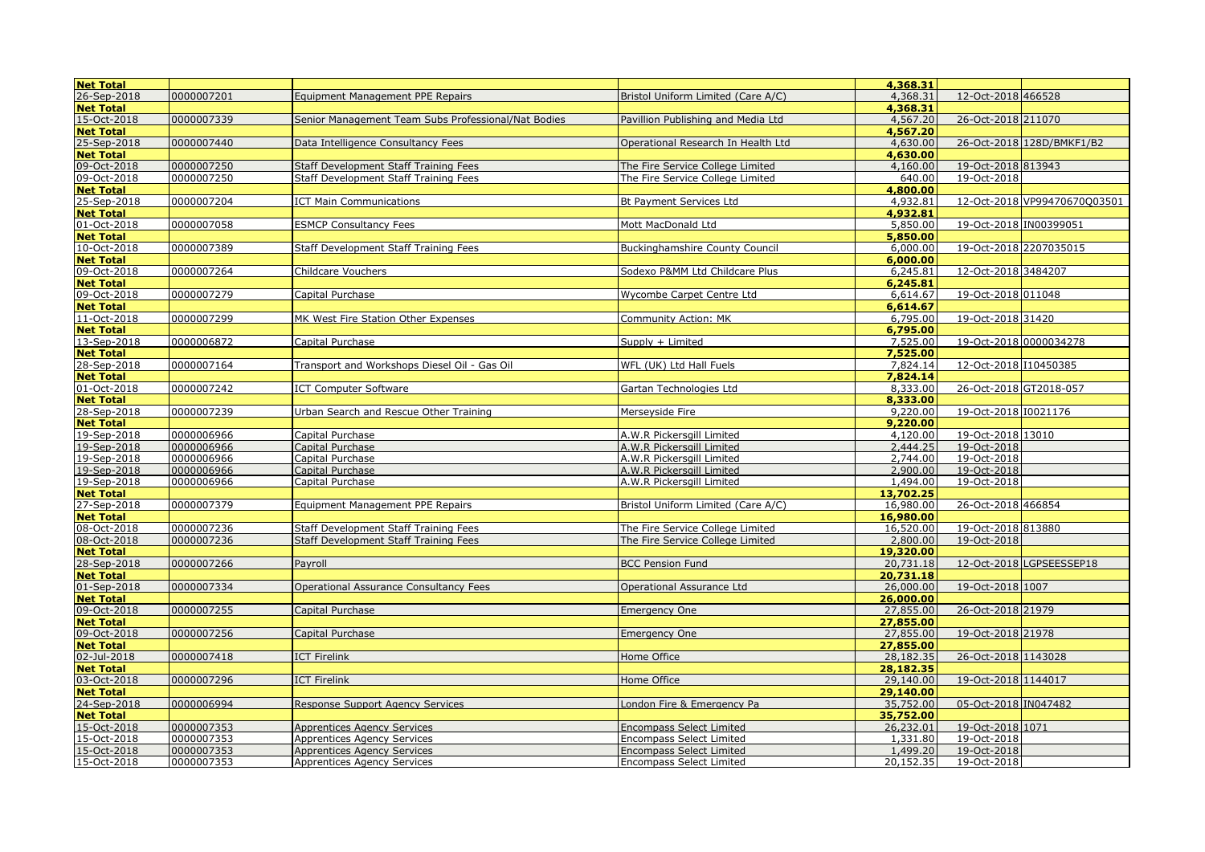| <b>Net Total</b> |            |                                                     |                                    | 4,368.31  |                              |
|------------------|------------|-----------------------------------------------------|------------------------------------|-----------|------------------------------|
| 26-Sep-2018      | 0000007201 | <b>Equipment Management PPE Repairs</b>             | Bristol Uniform Limited (Care A/C) | 4,368.31  | 12-Oct-2018 466528           |
| <b>Net Total</b> |            |                                                     |                                    | 4,368.31  |                              |
| 15-Oct-2018      | 0000007339 | Senior Management Team Subs Professional/Nat Bodies | Pavillion Publishing and Media Ltd | 4,567.20  | 26-Oct-2018 211070           |
| <b>Net Total</b> |            |                                                     |                                    | 4,567.20  |                              |
| 25-Sep-2018      | 0000007440 | Data Intelligence Consultancy Fees                  | Operational Research In Health Ltd | 4,630.00  | 26-Oct-2018 128D/BMKF1/B2    |
| <b>Net Total</b> |            |                                                     |                                    | 4,630.00  |                              |
| 09-Oct-2018      | 0000007250 | Staff Development Staff Training Fees               | The Fire Service College Limited   | 4,160.00  | 19-Oct-2018 813943           |
| 09-Oct-2018      | 0000007250 | Staff Development Staff Training Fees               | The Fire Service College Limited   | 640.00    | 19-Oct-2018                  |
| <b>Net Total</b> |            |                                                     |                                    | 4,800.00  |                              |
| 25-Sep-2018      | 0000007204 | <b>ICT Main Communications</b>                      | Bt Payment Services Ltd            | 4,932.81  | 12-Oct-2018 VP99470670O03501 |
| <b>Net Total</b> |            |                                                     |                                    | 4,932.81  |                              |
|                  |            |                                                     |                                    |           |                              |
| 01-Oct-2018      | 0000007058 | <b>ESMCP Consultancy Fees</b>                       | Mott MacDonald Ltd                 | 5,850.00  | 19-Oct-2018 IN00399051       |
| <b>Net Total</b> |            |                                                     |                                    | 5,850.00  |                              |
| 10-Oct-2018      | 0000007389 | Staff Development Staff Training Fees               | Buckinghamshire County Council     | 6,000.00  | 19-Oct-2018 2207035015       |
| <b>Net Total</b> |            |                                                     |                                    | 6,000.00  |                              |
| 09-Oct-2018      | 0000007264 | <b>Childcare Vouchers</b>                           | Sodexo P&MM Ltd Childcare Plus     | 6,245.81  | 12-Oct-2018 3484207          |
| <b>Net Total</b> |            |                                                     |                                    | 6,245.81  |                              |
| 09-Oct-2018      | 0000007279 | Capital Purchase                                    | Wycombe Carpet Centre Ltd          | 6,614.67  | 19-Oct-2018 011048           |
| <b>Net Total</b> |            |                                                     |                                    | 6,614.67  |                              |
| 11-Oct-2018      | 0000007299 | MK West Fire Station Other Expenses                 | Community Action: MK               | 6,795.00  | 19-Oct-2018 31420            |
| <b>Net Total</b> |            |                                                     |                                    | 6,795.00  |                              |
| 13-Sep-2018      | 0000006872 | Capital Purchase                                    | Supply + Limited                   | 7,525.00  | 19-Oct-2018 0000034278       |
| <b>Net Total</b> |            |                                                     |                                    | 7,525.00  |                              |
| 28-Sep-2018      | 0000007164 | Transport and Workshops Diesel Oil - Gas Oil        | WFL (UK) Ltd Hall Fuels            | 7,824.14  | 12-Oct-2018 I10450385        |
| <b>Net Total</b> |            |                                                     |                                    | 7.824.14  |                              |
| 01-Oct-2018      | 0000007242 | <b>ICT Computer Software</b>                        | Gartan Technologies Ltd            | 8,333.00  | 26-Oct-2018 GT2018-057       |
| <b>Net Total</b> |            |                                                     |                                    | 8,333.00  |                              |
| 28-Sep-2018      | 0000007239 | Urban Search and Rescue Other Training              | Mersevside Fire                    | 9,220.00  | 19-Oct-2018 I0021176         |
| <b>Net Total</b> |            |                                                     |                                    | 9,220.00  |                              |
| 19-Sep-2018      | 0000006966 | Capital Purchase                                    | A.W.R Pickersaill Limited          | 4,120.00  | 19-Oct-2018 13010            |
| 19-Sep-2018      | 0000006966 | Capital Purchase                                    | A.W.R Pickersaill Limited          | 2,444.25  | 19-Oct-2018                  |
| 19-Sep-2018      | 0000006966 | Capital Purchase                                    | A.W.R Pickersgill Limited          | 2.744.00  | 19-Oct-2018                  |
| 19-Sep-2018      | 0000006966 | Capital Purchase                                    | A.W.R Pickersaill Limited          | 2.900.00  | 19-Oct-2018                  |
| 19-Sep-2018      | 0000006966 | Capital Purchase                                    | A.W.R Pickersgill Limited          | 1,494.00  | 19-Oct-2018                  |
| <b>Net Total</b> |            |                                                     |                                    | 13,702.25 |                              |
| 27-Sep-2018      | 0000007379 | <b>Equipment Management PPE Repairs</b>             | Bristol Uniform Limited (Care A/C) | 16,980.00 | 26-Oct-2018 466854           |
| <b>Net Total</b> |            |                                                     |                                    | 16.980.00 |                              |
| 08-Oct-2018      | 0000007236 | Staff Development Staff Training Fees               | The Fire Service College Limited   | 16,520.00 | 19-Oct-2018 813880           |
| 08-Oct-2018      | 0000007236 | Staff Development Staff Training Fees               | The Fire Service College Limited   | 2,800.00  | 19-Oct-2018                  |
| <b>Net Total</b> |            |                                                     |                                    | 19,320.00 |                              |
| 28-Sep-2018      | 0000007266 | Payroll                                             | <b>BCC Pension Fund</b>            | 20,731.18 | 12-Oct-2018 LGPSEESSEP18     |
| <b>Net Total</b> |            |                                                     |                                    | 20,731.18 |                              |
| 01-Sep-2018      | 0000007334 | Operational Assurance Consultancy Fees              | Operational Assurance Ltd          | 26,000.00 | 19-Oct-2018 1007             |
| <b>Net Total</b> |            |                                                     |                                    | 26,000.00 |                              |
| 09-Oct-2018      | 0000007255 | Capital Purchase                                    | <b>Emergency One</b>               | 27,855.00 | 26-Oct-2018 21979            |
| <b>Net Total</b> |            |                                                     |                                    | 27,855.00 |                              |
| 09-Oct-2018      | 0000007256 | Capital Purchase                                    | <b>Emergency One</b>               | 27,855.00 | 19-Oct-2018 21978            |
| <b>Net Total</b> |            |                                                     |                                    | 27,855.00 |                              |
|                  |            |                                                     |                                    |           |                              |
| 02-Jul-2018      | 0000007418 | <b>ICT Firelink</b>                                 | Home Office                        | 28,182.35 | 26-Oct-2018 1143028          |
| <b>Net Total</b> |            |                                                     |                                    | 28,182.35 |                              |
| 03-Oct-2018      | 0000007296 | <b>ICT Firelink</b>                                 | Home Office                        | 29,140.00 | 19-Oct-2018 1144017          |
| <b>Net Total</b> |            |                                                     |                                    | 29,140.00 |                              |
| 24-Sep-2018      | 0000006994 | Response Support Agency Services                    | London Fire & Emergency Pa         | 35,752.00 | 05-Oct-2018 IN047482         |
| <b>Net Total</b> |            |                                                     |                                    | 35,752.00 |                              |
| 15-Oct-2018      | 0000007353 | <b>Apprentices Agency Services</b>                  | <b>Encompass Select Limited</b>    | 26,232.01 | 19-Oct-2018 1071             |
| 15-Oct-2018      | 0000007353 | <b>Apprentices Agency Services</b>                  | <b>Encompass Select Limited</b>    | 1,331.80  | 19-Oct-2018                  |
| 15-Oct-2018      | 0000007353 | <b>Apprentices Agency Services</b>                  | <b>Encompass Select Limited</b>    | 1,499.20  | 19-Oct-2018                  |
| 15-Oct-2018      | 0000007353 | <b>Apprentices Agency Services</b>                  | <b>Encompass Select Limited</b>    | 20,152.35 | 19-Oct-2018                  |